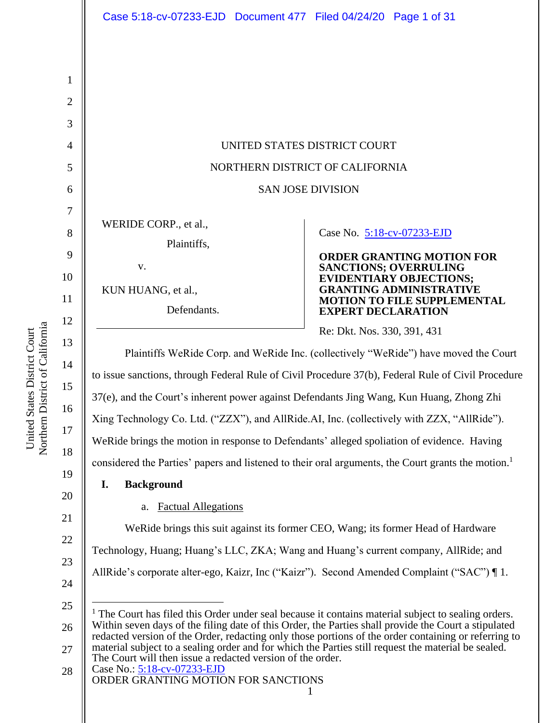$\overline{9}$ 10 11  $12$ United States District Court<br>Northern District of California Northern District of California 13  $14$ 15 16 17

United States District Court

| 1              |                                                                                                                                                                                                                                                                                                                                                                                                                                                                                                                                                                           |                                                                                                                                                                     |
|----------------|---------------------------------------------------------------------------------------------------------------------------------------------------------------------------------------------------------------------------------------------------------------------------------------------------------------------------------------------------------------------------------------------------------------------------------------------------------------------------------------------------------------------------------------------------------------------------|---------------------------------------------------------------------------------------------------------------------------------------------------------------------|
| $\overline{2}$ |                                                                                                                                                                                                                                                                                                                                                                                                                                                                                                                                                                           |                                                                                                                                                                     |
| 3              |                                                                                                                                                                                                                                                                                                                                                                                                                                                                                                                                                                           |                                                                                                                                                                     |
| $\overline{4}$ | UNITED STATES DISTRICT COURT                                                                                                                                                                                                                                                                                                                                                                                                                                                                                                                                              |                                                                                                                                                                     |
| 5              | NORTHERN DISTRICT OF CALIFORNIA                                                                                                                                                                                                                                                                                                                                                                                                                                                                                                                                           |                                                                                                                                                                     |
| 6              | <b>SAN JOSE DIVISION</b>                                                                                                                                                                                                                                                                                                                                                                                                                                                                                                                                                  |                                                                                                                                                                     |
| 7<br>8<br>9    | WERIDE CORP., et al.,<br>Plaintiffs,<br>V.                                                                                                                                                                                                                                                                                                                                                                                                                                                                                                                                | Case No. 5:18-cv-07233-EJD<br><b>ORDER GRANTING MOTION FOR</b>                                                                                                      |
| 10<br>11<br>12 | KUN HUANG, et al.,<br>Defendants.                                                                                                                                                                                                                                                                                                                                                                                                                                                                                                                                         | <b>SANCTIONS; OVERRULING</b><br><b>EVIDENTIARY OBJECTIONS;</b><br><b>GRANTING ADMINISTRATIVE</b><br><b>MOTION TO FILE SUPPLEMENTAL</b><br><b>EXPERT DECLARATION</b> |
| 13             |                                                                                                                                                                                                                                                                                                                                                                                                                                                                                                                                                                           | Re: Dkt. Nos. 330, 391, 431                                                                                                                                         |
| 14             | Plaintiffs WeRide Corp. and WeRide Inc. (collectively "WeRide") have moved the Court                                                                                                                                                                                                                                                                                                                                                                                                                                                                                      |                                                                                                                                                                     |
| 15             | to issue sanctions, through Federal Rule of Civil Procedure 37(b), Federal Rule of Civil Procedure                                                                                                                                                                                                                                                                                                                                                                                                                                                                        |                                                                                                                                                                     |
| 16             | 37(e), and the Court's inherent power against Defendants Jing Wang, Kun Huang, Zhong Zhi                                                                                                                                                                                                                                                                                                                                                                                                                                                                                  |                                                                                                                                                                     |
| 17             | Xing Technology Co. Ltd. ("ZZX"), and AllRide.AI, Inc. (collectively with ZZX, "AllRide").                                                                                                                                                                                                                                                                                                                                                                                                                                                                                |                                                                                                                                                                     |
| 18             | WeRide brings the motion in response to Defendants' alleged spoliation of evidence. Having                                                                                                                                                                                                                                                                                                                                                                                                                                                                                |                                                                                                                                                                     |
|                | considered the Parties' papers and listened to their oral arguments, the Court grants the motion. <sup>1</sup>                                                                                                                                                                                                                                                                                                                                                                                                                                                            |                                                                                                                                                                     |
| 19<br>20       | <b>Background</b><br>I.                                                                                                                                                                                                                                                                                                                                                                                                                                                                                                                                                   |                                                                                                                                                                     |
|                | <b>Factual Allegations</b><br>a.                                                                                                                                                                                                                                                                                                                                                                                                                                                                                                                                          |                                                                                                                                                                     |
| 21<br>22       | We Ride brings this suit against its former CEO, Wang; its former Head of Hardware                                                                                                                                                                                                                                                                                                                                                                                                                                                                                        |                                                                                                                                                                     |
| 23             | Technology, Huang; Huang's LLC, ZKA; Wang and Huang's current company, AllRide; and                                                                                                                                                                                                                                                                                                                                                                                                                                                                                       |                                                                                                                                                                     |
| 24             | AllRide's corporate alter-ego, Kaizr, Inc ("Kaizr"). Second Amended Complaint ("SAC")   1.                                                                                                                                                                                                                                                                                                                                                                                                                                                                                |                                                                                                                                                                     |
| 25             | <sup>1</sup> The Court has filed this Order under seal because it contains material subject to sealing orders.<br>Within seven days of the filing date of this Order, the Parties shall provide the Court a stipulated<br>redacted version of the Order, redacting only those portions of the order containing or referring to<br>material subject to a sealing order and for which the Parties still request the material be sealed.<br>The Court will then issue a redacted version of the order.<br>Case No.: 5:18-cv-07233-EJD<br>ORDER GRANTING MOTION FOR SANCTIONS |                                                                                                                                                                     |
| 26<br>27       |                                                                                                                                                                                                                                                                                                                                                                                                                                                                                                                                                                           |                                                                                                                                                                     |
| 28             |                                                                                                                                                                                                                                                                                                                                                                                                                                                                                                                                                                           |                                                                                                                                                                     |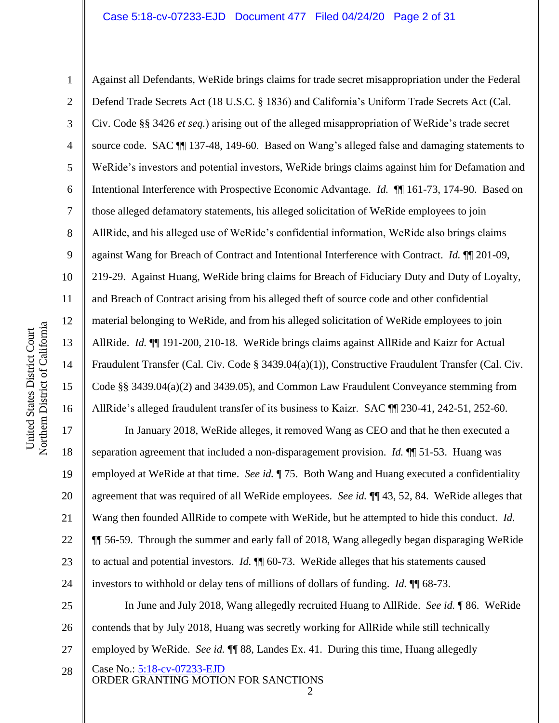10 11 12 Northern District of California Northern District of California 13 14 15 16 17 18

United States District Court

United States District Court

19

21

22

23

1

2 3 4 5 6 7 8 9 Against all Defendants, WeRide brings claims for trade secret misappropriation under the Federal Defend Trade Secrets Act (18 U.S.C. § 1836) and California's Uniform Trade Secrets Act (Cal. Civ. Code §§ 3426 *et seq.*) arising out of the alleged misappropriation of WeRide's trade secret source code. SAC ¶¶ 137-48, 149-60. Based on Wang's alleged false and damaging statements to WeRide's investors and potential investors, WeRide brings claims against him for Defamation and Intentional Interference with Prospective Economic Advantage. *Id.* ¶¶ 161-73, 174-90. Based on those alleged defamatory statements, his alleged solicitation of WeRide employees to join AllRide, and his alleged use of WeRide's confidential information, WeRide also brings claims against Wang for Breach of Contract and Intentional Interference with Contract. *Id.* ¶¶ 201-09, 219-29. Against Huang, WeRide bring claims for Breach of Fiduciary Duty and Duty of Loyalty, and Breach of Contract arising from his alleged theft of source code and other confidential material belonging to WeRide, and from his alleged solicitation of WeRide employees to join AllRide. *Id.* ¶¶ 191-200, 210-18. WeRide brings claims against AllRide and Kaizr for Actual Fraudulent Transfer (Cal. Civ. Code § 3439.04(a)(1)), Constructive Fraudulent Transfer (Cal. Civ. Code §§ 3439.04(a)(2) and 3439.05), and Common Law Fraudulent Conveyance stemming from AllRide's alleged fraudulent transfer of its business to Kaizr. SAC ¶¶ 230-41, 242-51, 252-60. In January 2018, WeRide alleges, it removed Wang as CEO and that he then executed a

20 24 separation agreement that included a non-disparagement provision. *Id.* ¶¶ 51-53. Huang was employed at WeRide at that time. *See id.* ¶ 75. Both Wang and Huang executed a confidentiality agreement that was required of all WeRide employees. *See id.* ¶¶ 43, 52, 84. WeRide alleges that Wang then founded AllRide to compete with WeRide, but he attempted to hide this conduct. *Id.* ¶¶ 56-59. Through the summer and early fall of 2018, Wang allegedly began disparaging WeRide to actual and potential investors. *Id.* ¶¶ 60-73. WeRide alleges that his statements caused investors to withhold or delay tens of millions of dollars of funding. *Id.* ¶¶ 68-73.

Case No.: 5:18-cv-07233-EJD 25 26 27 28 In June and July 2018, Wang allegedly recruited Huang to AllRide. *See id.* ¶ 86. WeRide contends that by July 2018, Huang was secretly working for AllRide while still technically employed by WeRide. *See id.* ¶¶ 88, Landes Ex. 41. During this time, Huang allegedly

ORDER GRANTING MOTION FOR SANCTIONS

 $\mathcal{D}_{\mathcal{L}}$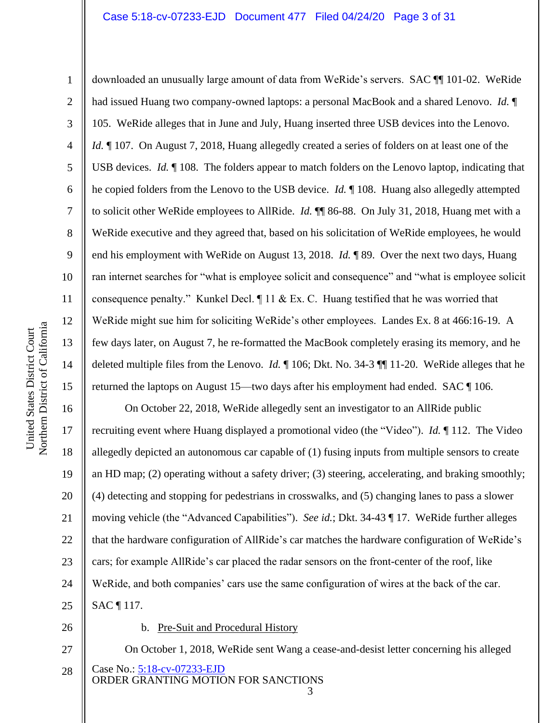### Case 5:18-cv-07233-EJD Document 477 Filed 04/24/20 Page 3 of 31

10 11 12 Northern District of California Northern District of California 13 14 15

United States District Court

United States District Court

1

2

3

4

5

6

7

8

9

downloaded an unusually large amount of data from WeRide's servers. SAC ¶¶ 101-02. WeRide had issued Huang two company-owned laptops: a personal MacBook and a shared Lenovo. *Id.* ¶ 105. WeRide alleges that in June and July, Huang inserted three USB devices into the Lenovo. *Id.*  $\parallel$  107. On August 7, 2018, Huang allegedly created a series of folders on at least one of the USB devices. *Id.* ¶ 108. The folders appear to match folders on the Lenovo laptop, indicating that he copied folders from the Lenovo to the USB device. *Id.* ¶ 108. Huang also allegedly attempted to solicit other WeRide employees to AllRide. *Id.* ¶¶ 86-88. On July 31, 2018, Huang met with a WeRide executive and they agreed that, based on his solicitation of WeRide employees, he would end his employment with WeRide on August 13, 2018. *Id.* ¶ 89. Over the next two days, Huang ran internet searches for "what is employee solicit and consequence" and "what is employee solicit consequence penalty." Kunkel Decl. ¶ 11 & Ex. C. Huang testified that he was worried that WeRide might sue him for soliciting WeRide's other employees. Landes Ex. 8 at 466:16-19. A few days later, on August 7, he re-formatted the MacBook completely erasing its memory, and he deleted multiple files from the Lenovo. *Id.* ¶ 106; Dkt. No. 34-3 ¶¶ 11-20. WeRide alleges that he returned the laptops on August 15—two days after his employment had ended. SAC ¶ 106.

16 17 18 19 20 21 22 23 24 25 On October 22, 2018, WeRide allegedly sent an investigator to an AllRide public recruiting event where Huang displayed a promotional video (the "Video"). *Id.* ¶ 112. The Video allegedly depicted an autonomous car capable of (1) fusing inputs from multiple sensors to create an HD map; (2) operating without a safety driver; (3) steering, accelerating, and braking smoothly; (4) detecting and stopping for pedestrians in crosswalks, and (5) changing lanes to pass a slower moving vehicle (the "Advanced Capabilities"). *See id.*; Dkt. 34-43 ¶ 17. WeRide further alleges that the hardware configuration of AllRide's car matches the hardware configuration of WeRide's cars; for example AllRide's car placed the radar sensors on the front-center of the roof, like WeRide, and both companies' cars use the same configuration of wires at the back of the car. SAC ¶ 117.

26

### b. Pre-Suit and Procedural History

Case No.: 5:18-cv-07233-EJD ORDER GRANTING MOTION FOR SANCTIONS 27 28 On October 1, 2018, WeRide sent Wang a cease-and-desist letter concerning his alleged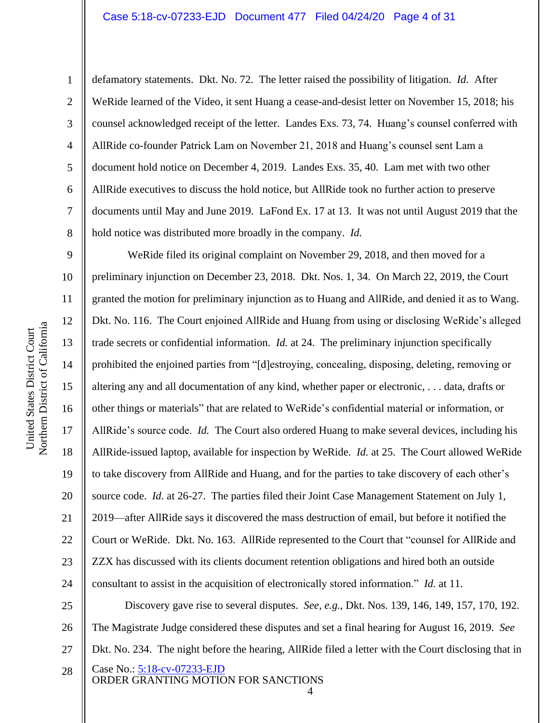### Case 5:18-cv-07233-EJD Document 477 Filed 04/24/20 Page 4 of 31

1

2

3

4

5

6

7

8

defamatory statements. Dkt. No. 72. The letter raised the possibility of litigation. *Id.* After WeRide learned of the Video, it sent Huang a cease-and-desist letter on November 15, 2018; his counsel acknowledged receipt of the letter. Landes Exs. 73, 74. Huang's counsel conferred with AllRide co-founder Patrick Lam on November 21, 2018 and Huang's counsel sent Lam a document hold notice on December 4, 2019. Landes Exs. 35, 40. Lam met with two other AllRide executives to discuss the hold notice, but AllRide took no further action to preserve documents until May and June 2019. LaFond Ex. 17 at 13. It was not until August 2019 that the hold notice was distributed more broadly in the company. *Id.*

9 10 11 12 13 14 15 16 17 18 19 20 21 22 23 24 WeRide filed its original complaint on November 29, 2018, and then moved for a preliminary injunction on December 23, 2018. Dkt. Nos. 1, 34. On March 22, 2019, the Court granted the motion for preliminary injunction as to Huang and AllRide, and denied it as to Wang. Dkt. No. 116. The Court enjoined AllRide and Huang from using or disclosing WeRide's alleged trade secrets or confidential information. *Id.* at 24. The preliminary injunction specifically prohibited the enjoined parties from "[d]estroying, concealing, disposing, deleting, removing or altering any and all documentation of any kind, whether paper or electronic, . . . data, drafts or other things or materials" that are related to WeRide's confidential material or information, or AllRide's source code. *Id.* The Court also ordered Huang to make several devices, including his AllRide-issued laptop, available for inspection by WeRide. *Id.* at 25. The Court allowed WeRide to take discovery from AllRide and Huang, and for the parties to take discovery of each other's source code. *Id.* at 26-27. The parties filed their Joint Case Management Statement on July 1, 2019—after AllRide says it discovered the mass destruction of email, but before it notified the Court or WeRide. Dkt. No. 163. AllRide represented to the Court that "counsel for AllRide and ZZX has discussed with its clients document retention obligations and hired both an outside consultant to assist in the acquisition of electronically stored information." *Id.* at 11.

Case No.: 5:18-cv-07233-EJD ORDER GRANTING MOTION FOR SANCTIONS 25 26 27 28 Discovery gave rise to several disputes. *See, e.g.*, Dkt. Nos. 139, 146, 149, 157, 170, 192. The Magistrate Judge considered these disputes and set a final hearing for August 16, 2019. *See* Dkt. No. 234. The night before the hearing, AllRide filed a letter with the Court disclosing that in

<sup>4</sup>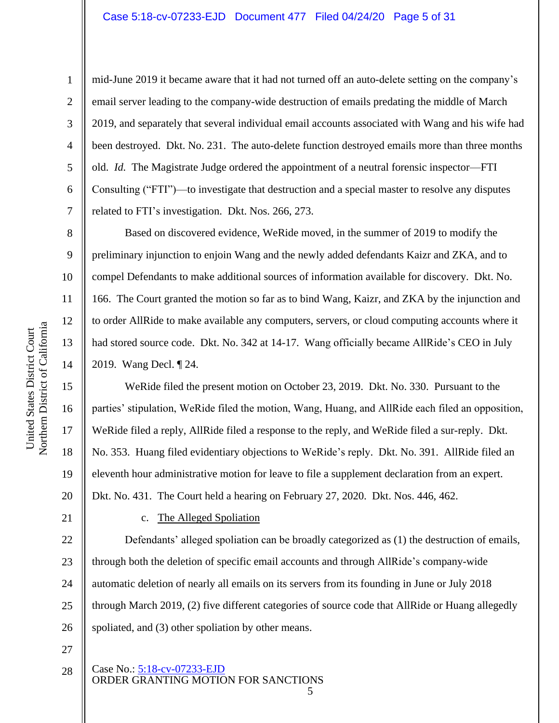mid-June 2019 it became aware that it had not turned off an auto-delete setting on the company's email server leading to the company-wide destruction of emails predating the middle of March 2019, and separately that several individual email accounts associated with Wang and his wife had been destroyed. Dkt. No. 231. The auto-delete function destroyed emails more than three months old. *Id.* The Magistrate Judge ordered the appointment of a neutral forensic inspector—FTI Consulting ("FTI")—to investigate that destruction and a special master to resolve any disputes related to FTI's investigation. Dkt. Nos. 266, 273.

Based on discovered evidence, WeRide moved, in the summer of 2019 to modify the preliminary injunction to enjoin Wang and the newly added defendants Kaizr and ZKA, and to compel Defendants to make additional sources of information available for discovery. Dkt. No. 166. The Court granted the motion so far as to bind Wang, Kaizr, and ZKA by the injunction and to order AllRide to make available any computers, servers, or cloud computing accounts where it had stored source code. Dkt. No. 342 at 14-17. Wang officially became AllRide's CEO in July 2019. Wang Decl. ¶ 24.

WeRide filed the present motion on October 23, 2019. Dkt. No. 330. Pursuant to the parties' stipulation, WeRide filed the motion, Wang, Huang, and AllRide each filed an opposition, WeRide filed a reply, AllRide filed a response to the reply, and WeRide filed a sur-reply. Dkt. No. 353. Huang filed evidentiary objections to WeRide's reply. Dkt. No. 391. AllRide filed an eleventh hour administrative motion for leave to file a supplement declaration from an expert. Dkt. No. 431. The Court held a hearing on February 27, 2020. Dkt. Nos. 446, 462.

21

1

2

3

4

5

6

7

8

9

10

11

12

13

14

15

16

17

18

19

20

### c. The Alleged Spoliation

22 23 24 25 26 Defendants' alleged spoliation can be broadly categorized as (1) the destruction of emails, through both the deletion of specific email accounts and through AllRide's company-wide automatic deletion of nearly all emails on its servers from its founding in June or July 2018 through March 2019, (2) five different categories of source code that AllRide or Huang allegedly spoliated, and (3) other spoliation by other means.

- 27
- Case No.: 5:18-cv-07233-EJD ORDER GRANTING MOTION FOR SANCTIONS 5 28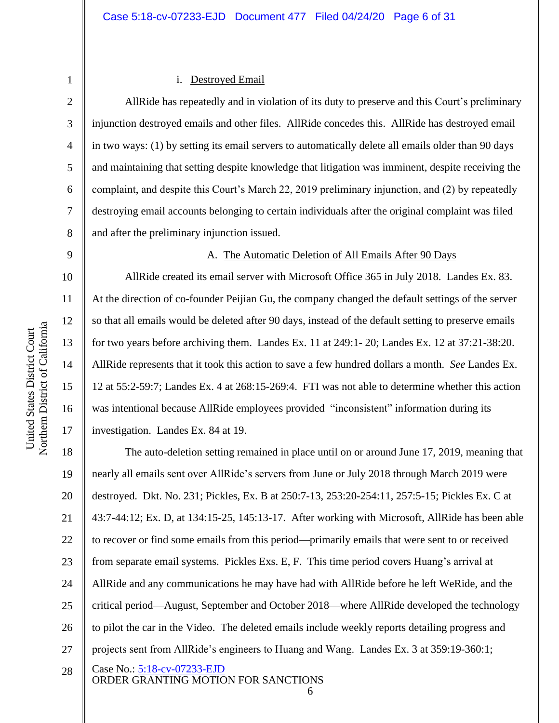3

4

5

6

7

8

### i. Destroyed Email

AllRide has repeatedly and in violation of its duty to preserve and this Court's preliminary injunction destroyed emails and other files. AllRide concedes this. AllRide has destroyed email in two ways: (1) by setting its email servers to automatically delete all emails older than 90 days and maintaining that setting despite knowledge that litigation was imminent, despite receiving the complaint, and despite this Court's March 22, 2019 preliminary injunction, and (2) by repeatedly destroying email accounts belonging to certain individuals after the original complaint was filed and after the preliminary injunction issued.

9

10

11

12

13

14

15

16

17

### A. The Automatic Deletion of All Emails After 90 Days

AllRide created its email server with Microsoft Office 365 in July 2018. Landes Ex. 83. At the direction of co-founder Peijian Gu, the company changed the default settings of the server so that all emails would be deleted after 90 days, instead of the default setting to preserve emails for two years before archiving them. Landes Ex. 11 at 249:1- 20; Landes Ex. 12 at 37:21-38:20. AllRide represents that it took this action to save a few hundred dollars a month. *See* Landes Ex. 12 at 55:2-59:7; Landes Ex. 4 at 268:15-269:4. FTI was not able to determine whether this action was intentional because AllRide employees provided "inconsistent" information during its investigation. Landes Ex. 84 at 19.

Case No.: 5:18-cv-07233-EJD 18 19 20 21 22 23 24 25 26 27 28 The auto-deletion setting remained in place until on or around June 17, 2019, meaning that nearly all emails sent over AllRide's servers from June or July 2018 through March 2019 were destroyed. Dkt. No. 231; Pickles, Ex. B at 250:7-13, 253:20-254:11, 257:5-15; Pickles Ex. C at 43:7-44:12; Ex. D, at 134:15-25, 145:13-17. After working with Microsoft, AllRide has been able to recover or find some emails from this period—primarily emails that were sent to or received from separate email systems. Pickles Exs. E, F. This time period covers Huang's arrival at AllRide and any communications he may have had with AllRide before he left WeRide, and the critical period—August, September and October 2018—where AllRide developed the technology to pilot the car in the Video. The deleted emails include weekly reports detailing progress and projects sent from AllRide's engineers to Huang and Wang. Landes Ex. 3 at 359:19-360:1;

6

ORDER GRANTING MOTION FOR SANCTIONS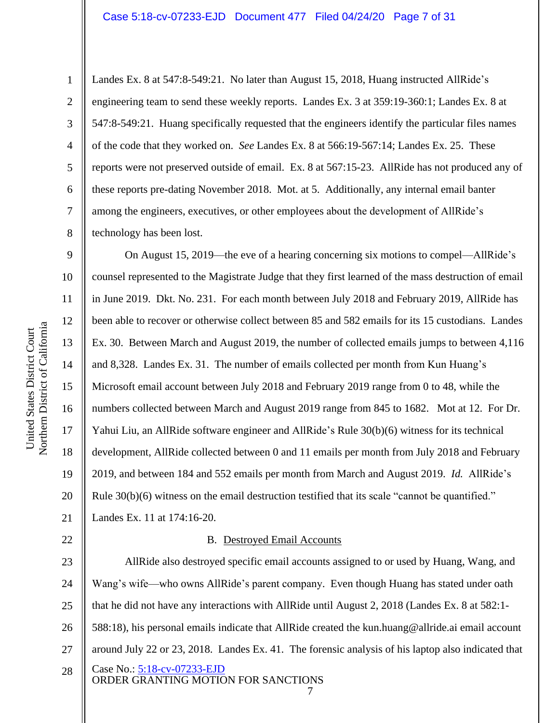Landes Ex. 8 at 547:8-549:21. No later than August 15, 2018, Huang instructed AllRide's engineering team to send these weekly reports. Landes Ex. 3 at 359:19-360:1; Landes Ex. 8 at 547:8-549:21. Huang specifically requested that the engineers identify the particular files names of the code that they worked on. *See* Landes Ex. 8 at 566:19-567:14; Landes Ex. 25. These reports were not preserved outside of email. Ex. 8 at 567:15-23. AllRide has not produced any of these reports pre-dating November 2018. Mot. at 5. Additionally, any internal email banter among the engineers, executives, or other employees about the development of AllRide's technology has been lost.

9 10 11 12 13 14 15 16 On August 15, 2019—the eve of a hearing concerning six motions to compel—AllRide's counsel represented to the Magistrate Judge that they first learned of the mass destruction of email in June 2019. Dkt. No. 231. For each month between July 2018 and February 2019, AllRide has been able to recover or otherwise collect between 85 and 582 emails for its 15 custodians. Landes Ex. 30. Between March and August 2019, the number of collected emails jumps to between 4,116 and 8,328. Landes Ex. 31. The number of emails collected per month from Kun Huang's Microsoft email account between July 2018 and February 2019 range from 0 to 48, while the numbers collected between March and August 2019 range from 845 to 1682. Mot at 12. For Dr. Yahui Liu, an AllRide software engineer and AllRide's Rule 30(b)(6) witness for its technical development, AllRide collected between 0 and 11 emails per month from July 2018 and February 2019, and between 184 and 552 emails per month from March and August 2019. *Id.* AllRide's Rule 30(b)(6) witness on the email destruction testified that its scale "cannot be quantified." Landes Ex. 11 at 174:16-20.

### B. Destroyed Email Accounts

Case No.: 5:18-cv-07233-EJD ORDER GRANTING MOTION FOR SANCTIONS 7 23 24 25 26 27 28 AllRide also destroyed specific email accounts assigned to or used by Huang, Wang, and Wang's wife—who owns AllRide's parent company. Even though Huang has stated under oath that he did not have any interactions with AllRide until August 2, 2018 (Landes Ex. 8 at 582:1- 588:18), his personal emails indicate that AllRide created the kun.huang@allride.ai email account around July 22 or 23, 2018. Landes Ex. 41. The forensic analysis of his laptop also indicated that

1

2

3

4

5

6

7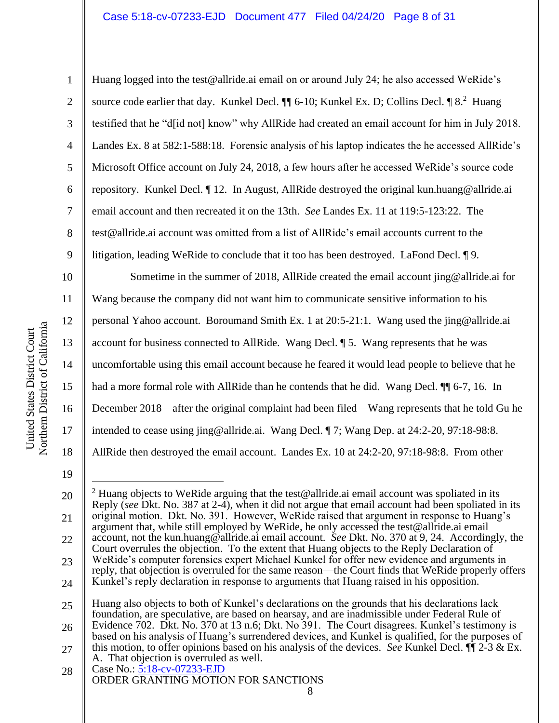### Case 5:18-cv-07233-EJD Document 477 Filed 04/24/20 Page 8 of 31

Northern District of California Northern District of California United States District Court United States District Court

Huang logged into the test@allride.ai email on or around July 24; he also accessed WeRide's source code earlier that day. Kunkel Decl.  $\P$  6-10; Kunkel Ex. D; Collins Decl.  $\P$  8.<sup>2</sup> Huang testified that he "d[id not] know" why AllRide had created an email account for him in July 2018. Landes Ex. 8 at 582:1-588:18. Forensic analysis of his laptop indicates the he accessed AllRide's Microsoft Office account on July 24, 2018, a few hours after he accessed WeRide's source code repository. Kunkel Decl. ¶ 12. In August, AllRide destroyed the original kun.huang@allride.ai email account and then recreated it on the 13th. *See* Landes Ex. 11 at 119:5-123:22. The test@allride.ai account was omitted from a list of AllRide's email accounts current to the litigation, leading WeRide to conclude that it too has been destroyed. LaFond Decl. ¶ 9.

15 16 Sometime in the summer of 2018, AllRide created the email account jing@allride.ai for Wang because the company did not want him to communicate sensitive information to his personal Yahoo account. Boroumand Smith Ex. 1 at 20:5-21:1. Wang used the jing@allride.ai account for business connected to AllRide. Wang Decl. ¶ 5. Wang represents that he was uncomfortable using this email account because he feared it would lead people to believe that he had a more formal role with AllRide than he contends that he did. Wang Decl.  $\P$  6-7, 16. In December 2018—after the original complaint had been filed—Wang represents that he told Gu he intended to cease using jing@allride.ai. Wang Decl. ¶ 7; Wang Dep. at 24:2-20, 97:18-98:8. AllRide then destroyed the email account. Landes Ex. 10 at 24:2-20, 97:18-98:8. From other

19

17

18

1

2

3

4

5

6

7

8

9

10

11

12

13

14

<sup>20</sup> 21 22 23 24 <sup>2</sup> Huang objects to WeRide arguing that the test@allride.ai email account was spoliated in its Reply (*see* Dkt. No. 387 at 2-4), when it did not argue that email account had been spoliated in its original motion. Dkt. No. 391. However, WeRide raised that argument in response to Huang's argument that, while still employed by WeRide, he only accessed the test@allride.ai email account, not the kun.huang@allride.ai email account. *See* Dkt. No. 370 at 9, 24. Accordingly, the Court overrules the objection. To the extent that Huang objects to the Reply Declaration of WeRide's computer forensics expert Michael Kunkel for offer new evidence and arguments in reply, that objection is overruled for the same reason—the Court finds that WeRide properly offers Kunkel's reply declaration in response to arguments that Huang raised in his opposition.

<sup>25</sup> Huang also objects to both of Kunkel's declarations on the grounds that his declarations lack foundation, are speculative, are based on hearsay, and are inadmissible under Federal Rule of

<sup>26</sup> 27 Evidence 702. Dkt. No. 370 at 13 n.6; Dkt. No 391. The Court disagrees. Kunkel's testimony is based on his analysis of Huang's surrendered devices, and Kunkel is qualified, for the purposes of this motion, to offer opinions based on his analysis of the devices. *See* Kunkel Decl. ¶¶ 2-3 & Ex.

Case No.: 5:18-cv-07233-EJD ORDER GRANTING MOTION FOR SANCTIONS 28 A. That objection is overruled as well.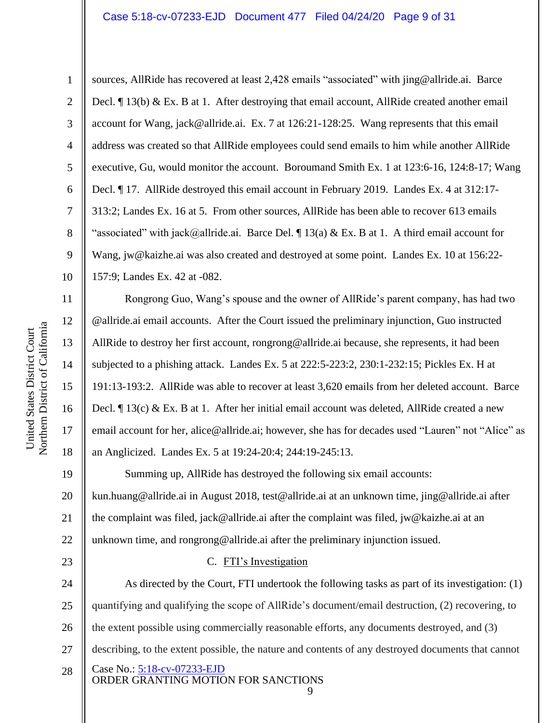### Case 5:18-cv-07233-EJD Document 477 Filed 04/24/20 Page 9 of 31

1

2

3

5

7

8

9

11

12

13

14

15

16

17

18

23

4 6 10 sources, AllRide has recovered at least 2,428 emails "associated" with jing@allride.ai. Barce Decl. ¶ 13(b) & Ex. B at 1. After destroying that email account, AllRide created another email account for Wang, jack@allride.ai. Ex. 7 at 126:21-128:25. Wang represents that this email address was created so that AllRide employees could send emails to him while another AllRide executive, Gu, would monitor the account. Boroumand Smith Ex. 1 at 123:6-16, 124:8-17; Wang Decl. ¶ 17. AllRide destroyed this email account in February 2019. Landes Ex. 4 at 312:17- 313:2; Landes Ex. 16 at 5. From other sources, AllRide has been able to recover 613 emails "associated" with jack@allride.ai. Barce Del.  $\P$  13(a) & Ex. B at 1. A third email account for Wang, jw@kaizhe.ai was also created and destroyed at some point. Landes Ex. 10 at 156:22- 157:9; Landes Ex. 42 at -082.

Rongrong Guo, Wang's spouse and the owner of AllRide's parent company, has had two @allride.ai email accounts. After the Court issued the preliminary injunction, Guo instructed AllRide to destroy her first account, rongrong@allride.ai because, she represents, it had been subjected to a phishing attack. Landes Ex. 5 at 222:5-223:2, 230:1-232:15; Pickles Ex. H at 191:13-193:2. AllRide was able to recover at least 3,620 emails from her deleted account. Barce Decl. ¶ 13(c) & Ex. B at 1. After her initial email account was deleted, AllRide created a new email account for her, alice@allride.ai; however, she has for decades used "Lauren" not "Alice" as an Anglicized. Landes Ex. 5 at 19:24-20:4; 244:19-245:13.

19 20 21 22 Summing up, AllRide has destroyed the following six email accounts: kun.huang@allride.ai in August 2018, test@allride.ai at an unknown time, jing@allride.ai after the complaint was filed, jack@allride.ai after the complaint was filed, jw@kaizhe.ai at an unknown time, and rongrong@allride.ai after the preliminary injunction issued.

### C. FTI's Investigation

Case No.: 5:18-cv-07233-EJD ORDER GRANTING MOTION FOR SANCTIONS 24 25 26 27 28 As directed by the Court, FTI undertook the following tasks as part of its investigation: (1) quantifying and qualifying the scope of AllRide's document/email destruction, (2) recovering, to the extent possible using commercially reasonable efforts, any documents destroyed, and (3) describing, to the extent possible, the nature and contents of any destroyed documents that cannot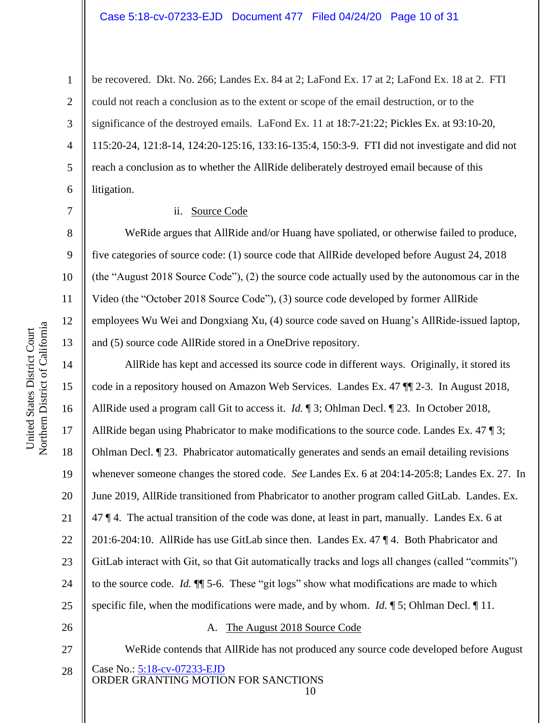### Case 5:18-cv-07233-EJD Document 477 Filed 04/24/20 Page 10 of 31

2 3 4 5 6 be recovered. Dkt. No. 266; Landes Ex. 84 at 2; LaFond Ex. 17 at 2; LaFond Ex. 18 at 2. FTI could not reach a conclusion as to the extent or scope of the email destruction, or to the significance of the destroyed emails. LaFond Ex. 11 at 18:7-21:22; Pickles Ex. at 93:10-20, 115:20-24, 121:8-14, 124:20-125:16, 133:16-135:4, 150:3-9. FTI did not investigate and did not reach a conclusion as to whether the AllRide deliberately destroyed email because of this litigation.

### ii. Source Code

WeRide argues that AllRide and/or Huang have spoliated, or otherwise failed to produce, five categories of source code: (1) source code that AllRide developed before August 24, 2018 (the "August 2018 Source Code"), (2) the source code actually used by the autonomous car in the Video (the "October 2018 Source Code"), (3) source code developed by former AllRide employees Wu Wei and Dongxiang Xu, (4) source code saved on Huang's AllRide-issued laptop, and (5) source code AllRide stored in a OneDrive repository.

AllRide has kept and accessed its source code in different ways. Originally, it stored its code in a repository housed on Amazon Web Services. Landes Ex. 47 ¶¶ 2-3. In August 2018, AllRide used a program call Git to access it. *Id.* ¶ 3; Ohlman Decl. ¶ 23. In October 2018, AllRide began using Phabricator to make modifications to the source code. Landes Ex. 47 ¶ 3; Ohlman Decl. ¶ 23. Phabricator automatically generates and sends an email detailing revisions whenever someone changes the stored code. *See* Landes Ex. 6 at 204:14-205:8; Landes Ex. 27. In June 2019, AllRide transitioned from Phabricator to another program called GitLab. Landes. Ex. 47 ¶ 4. The actual transition of the code was done, at least in part, manually. Landes Ex. 6 at 201:6-204:10. AllRide has use GitLab since then. Landes Ex. 47 ¶ 4. Both Phabricator and GitLab interact with Git, so that Git automatically tracks and logs all changes (called "commits") to the source code. *Id.* ¶¶ 5-6. These "git logs" show what modifications are made to which specific file, when the modifications were made, and by whom. *Id.* ¶ 5; Ohlman Decl. ¶ 11.

27

### A. The August 2018 Source Code

Case No.: 5:18-cv-07233-EJD ORDER GRANTING MOTION FOR SANCTIONS WeRide contends that AllRide has not produced any source code developed before August

10

1

7

8

9

10

11

12

13

14

15

16

17

18

19

20

21

22

23

24

25

26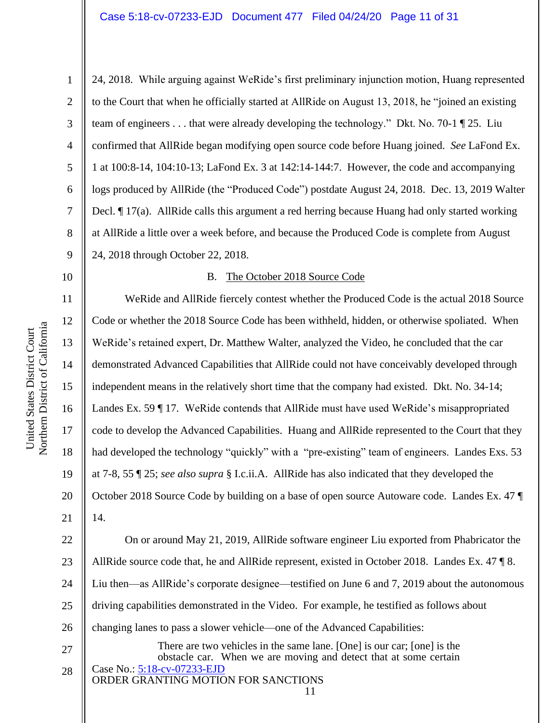United States District Court

United States District Court

24, 2018. While arguing against WeRide's first preliminary injunction motion, Huang represented to the Court that when he officially started at AllRide on August 13, 2018, he "joined an existing team of engineers . . . that were already developing the technology." Dkt. No. 70-1 ¶ 25. Liu confirmed that AllRide began modifying open source code before Huang joined. *See* LaFond Ex. 1 at 100:8-14, 104:10-13; LaFond Ex. 3 at 142:14-144:7. However, the code and accompanying logs produced by AllRide (the "Produced Code") postdate August 24, 2018. Dec. 13, 2019 Walter Decl. ¶ 17(a). AllRide calls this argument a red herring because Huang had only started working at AllRide a little over a week before, and because the Produced Code is complete from August 24, 2018 through October 22, 2018.

10

1

2

3

4

5

6

7

8

9

### B. The October 2018 Source Code

18 19 20 21 WeRide and AllRide fiercely contest whether the Produced Code is the actual 2018 Source Code or whether the 2018 Source Code has been withheld, hidden, or otherwise spoliated. When WeRide's retained expert, Dr. Matthew Walter, analyzed the Video, he concluded that the car demonstrated Advanced Capabilities that AllRide could not have conceivably developed through independent means in the relatively short time that the company had existed. Dkt. No. 34-14; Landes Ex. 59 ¶ 17. WeRide contends that AllRide must have used WeRide's misappropriated code to develop the Advanced Capabilities. Huang and AllRide represented to the Court that they had developed the technology "quickly" with a "pre-existing" team of engineers. Landes Exs. 53 at 7-8, 55 ¶ 25; *see also supra* § I.c.ii.A. AllRide has also indicated that they developed the October 2018 Source Code by building on a base of open source Autoware code. Landes Ex. 47 ¶ 14.

Case No.: 5:18-cv-07233-EJD 22 23 24 25 26 27 28 On or around May 21, 2019, AllRide software engineer Liu exported from Phabricator the AllRide source code that, he and AllRide represent, existed in October 2018. Landes Ex. 47 ¶ 8. Liu then—as AllRide's corporate designee—testified on June 6 and 7, 2019 about the autonomous driving capabilities demonstrated in the Video. For example, he testified as follows about changing lanes to pass a slower vehicle—one of the Advanced Capabilities: There are two vehicles in the same lane. [One] is our car; [one] is the obstacle car. When we are moving and detect that at some certain

### ORDER GRANTING MOTION FOR SANCTIONS

<sup>11</sup>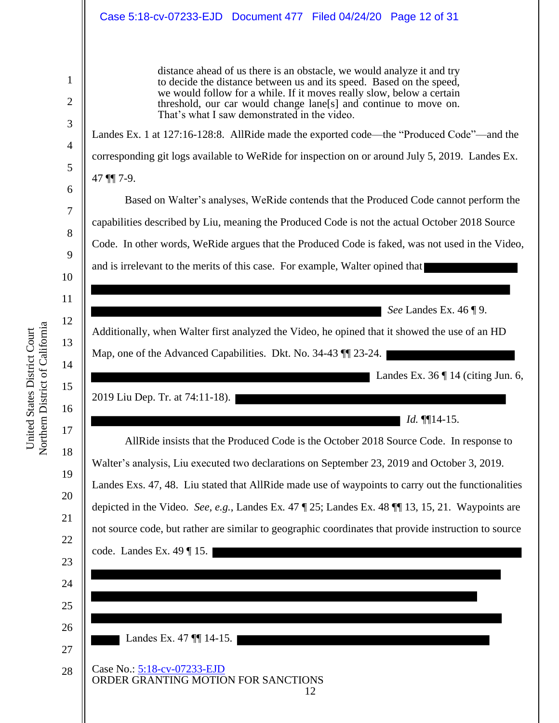### Case 5:18-cv-07233-EJD Document 477 Filed 04/24/20 Page 12 of 31

distance ahead of us there is an obstacle, we would analyze it and try to decide the distance between us and its speed. Based on the speed, we would follow for a while. If it moves really slow, below a certain threshold, our car would change lane[s] and continue to move on. That's what I saw demonstrated in the video.

Landes Ex. 1 at 127:16-128:8. AllRide made the exported code—the "Produced Code"—and the corresponding git logs available to WeRide for inspection on or around July 5, 2019. Landes Ex. 47 ¶¶ 7-9.

Based on Walter's analyses, WeRide contends that the Produced Code cannot perform the capabilities described by Liu, meaning the Produced Code is not the actual October 2018 Source Code. In other words, WeRide argues that the Produced Code is faked, was not used in the Video, and is irrelevant to the merits of this case. For example, Walter opined that

*See* Landes Ex. 46 ¶ 9.

Additionally, when Walter first analyzed the Video, he opined that it showed the use of an HD Map, one of the Advanced Capabilities. Dkt. No. 34-43  $\parallel$  23-24.

**Landes Ex. 36 | 14 (citing Jun. 6,** 

2019 Liu Dep. Tr. at 74:11-18).

 $Id. \P[14-15.$ 

AllRide insists that the Produced Code is the October 2018 Source Code. In response to Walter's analysis, Liu executed two declarations on September 23, 2019 and October 3, 2019. Landes Exs. 47, 48. Liu stated that AllRide made use of waypoints to carry out the functionalities depicted in the Video. *See, e.g.*, Landes Ex*.* 47 ¶ 25; Landes Ex. 48 ¶¶ 13, 15, 21. Waypoints are not source code, but rather are similar to geographic coordinates that provide instruction to source code. Landes Ex. 49 ¶ 15.

12

25 26

Case No.: 5:18-cv-07233-EJD ORDER GRANTING MOTION FOR SANCTIONS Landes Ex. 47 **[14-15.**]

1

2

3

4

5

6

7

8

9

10

11

12

13

14

15

16

17

18

19

20

21

22

23

24

27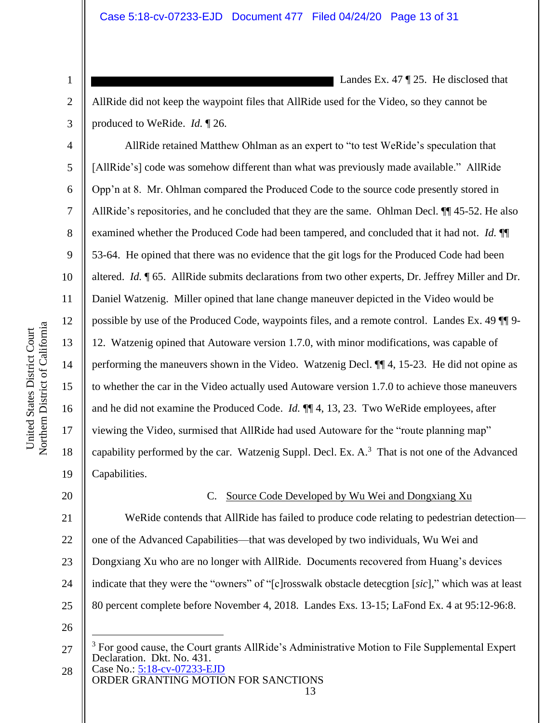AllRide did not keep the waypoint files that AllRide used for the Video, so they cannot be produced to WeRide. *Id.* ¶ 26.

Landes Ex. 47  $\sqrt{25}$ . He disclosed that

AllRide retained Matthew Ohlman as an expert to "to test WeRide's speculation that [AllRide's] code was somehow different than what was previously made available." AllRide Opp'n at 8. Mr. Ohlman compared the Produced Code to the source code presently stored in AllRide's repositories, and he concluded that they are the same. Ohlman Decl. ¶¶ 45-52. He also examined whether the Produced Code had been tampered, and concluded that it had not. *Id.* ¶¶ 53-64. He opined that there was no evidence that the git logs for the Produced Code had been altered. *Id.* ¶ 65. AllRide submits declarations from two other experts, Dr. Jeffrey Miller and Dr. Daniel Watzenig. Miller opined that lane change maneuver depicted in the Video would be possible by use of the Produced Code, waypoints files, and a remote control. Landes Ex. 49 ¶¶ 9- 12. Watzenig opined that Autoware version 1.7.0, with minor modifications, was capable of performing the maneuvers shown in the Video. Watzenig Decl. ¶¶ 4, 15-23. He did not opine as to whether the car in the Video actually used Autoware version 1.7.0 to achieve those maneuvers and he did not examine the Produced Code. *Id.* ¶¶ 4, 13, 23. Two WeRide employees, after viewing the Video, surmised that AllRide had used Autoware for the "route planning map" capability performed by the car. Watzenig Suppl. Decl. Ex.  $A$ .<sup>3</sup> That is not one of the Advanced Capabilities.

20

1

2

3

4

5

6

7

8

9

10

11

12

13

14

15

16

17

18

19

### C. Source Code Developed by Wu Wei and Dongxiang Xu

21 22 23 24 25 WeRide contends that AllRide has failed to produce code relating to pedestrian detection one of the Advanced Capabilities—that was developed by two individuals, Wu Wei and Dongxiang Xu who are no longer with AllRide. Documents recovered from Huang's devices indicate that they were the "owners" of "[c]rosswalk obstacle detecgtion [*sic*]," which was at least 80 percent complete before November 4, 2018. Landes Exs. 13-15; LaFond Ex. 4 at 95:12-96:8.

26

ORDER GRANTING MOTION FOR SANCTIONS 28

Case No.: 5:18-cv-07233-EJD 27  $3$  For good cause, the Court grants AllRide's Administrative Motion to File Supplemental Expert Declaration. Dkt. No. 431.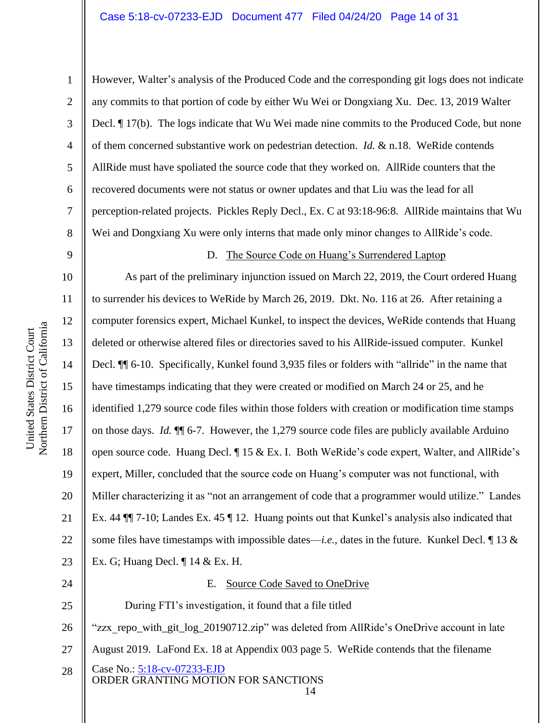2

3

4

5

6

7

8

9

24

25

However, Walter's analysis of the Produced Code and the corresponding git logs does not indicate any commits to that portion of code by either Wu Wei or Dongxiang Xu. Dec. 13, 2019 Walter Decl. ¶ 17(b). The logs indicate that Wu Wei made nine commits to the Produced Code, but none of them concerned substantive work on pedestrian detection. *Id.* & n.18. WeRide contends AllRide must have spoliated the source code that they worked on. AllRide counters that the recovered documents were not status or owner updates and that Liu was the lead for all perception-related projects. Pickles Reply Decl., Ex. C at 93:18-96:8. AllRide maintains that Wu Wei and Dongxiang Xu were only interns that made only minor changes to AllRide's code.

### D. The Source Code on Huang's Surrendered Laptop

10 11 12 13 14 15 16 17 18 19 20 21 22 23 As part of the preliminary injunction issued on March 22, 2019, the Court ordered Huang to surrender his devices to WeRide by March 26, 2019. Dkt. No. 116 at 26. After retaining a computer forensics expert, Michael Kunkel, to inspect the devices, WeRide contends that Huang deleted or otherwise altered files or directories saved to his AllRide-issued computer. Kunkel Decl. ¶¶ 6-10. Specifically, Kunkel found 3,935 files or folders with "allride" in the name that have timestamps indicating that they were created or modified on March 24 or 25, and he identified 1,279 source code files within those folders with creation or modification time stamps on those days. *Id.* ¶¶ 6-7. However, the 1,279 source code files are publicly available Arduino open source code. Huang Decl. ¶ 15 & Ex. I. Both WeRide's code expert, Walter, and AllRide's expert, Miller, concluded that the source code on Huang's computer was not functional, with Miller characterizing it as "not an arrangement of code that a programmer would utilize." Landes Ex. 44 ¶¶ 7-10; Landes Ex. 45 ¶ 12. Huang points out that Kunkel's analysis also indicated that some files have timestamps with impossible dates—*i.e.*, dates in the future. Kunkel Decl. ¶ 13 & Ex. G; Huang Decl. ¶ 14 & Ex. H.

### E. Source Code Saved to OneDrive

During FTI's investigation, it found that a file titled

26 "zzx\_repo\_with\_git\_log\_20190712.zip" was deleted from AllRide's OneDrive account in late

- 27 August 2019. LaFond Ex. 18 at Appendix 003 page 5. WeRide contends that the filename
- Case No.: 5:18-cv-07233-EJD ORDER GRANTING MOTION FOR SANCTIONS 14 28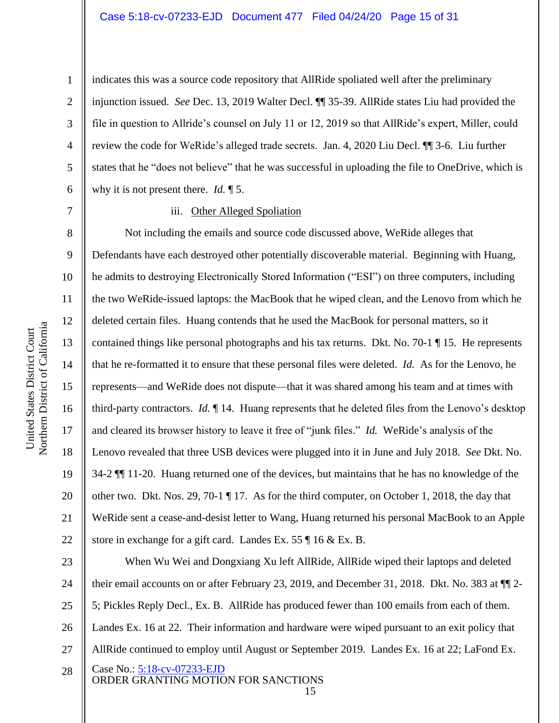14

15

16

17

18

19

20

21

22

1

2

indicates this was a source code repository that AllRide spoliated well after the preliminary injunction issued. *See* Dec. 13, 2019 Walter Decl. ¶¶ 35-39. AllRide states Liu had provided the file in question to Allride's counsel on July 11 or 12, 2019 so that AllRide's expert, Miller, could review the code for WeRide's alleged trade secrets. Jan. 4, 2020 Liu Decl. ¶¶ 3-6. Liu further states that he "does not believe" that he was successful in uploading the file to OneDrive, which is why it is not present there. *Id.* ¶ 5.

### iii. Other Alleged Spoliation

Not including the emails and source code discussed above, WeRide alleges that Defendants have each destroyed other potentially discoverable material. Beginning with Huang, he admits to destroying Electronically Stored Information ("ESI") on three computers, including the two WeRide-issued laptops: the MacBook that he wiped clean, and the Lenovo from which he deleted certain files. Huang contends that he used the MacBook for personal matters, so it contained things like personal photographs and his tax returns. Dkt. No. 70-1 ¶ 15. He represents that he re-formatted it to ensure that these personal files were deleted. *Id.* As for the Lenovo, he represents—and WeRide does not dispute—that it was shared among his team and at times with third-party contractors. *Id.* ¶ 14. Huang represents that he deleted files from the Lenovo's desktop and cleared its browser history to leave it free of "junk files." *Id.* WeRide's analysis of the Lenovo revealed that three USB devices were plugged into it in June and July 2018. *See* Dkt. No. 34-2 ¶¶ 11-20. Huang returned one of the devices, but maintains that he has no knowledge of the other two. Dkt. Nos. 29, 70-1 ¶ 17. As for the third computer, on October 1, 2018, the day that WeRide sent a cease-and-desist letter to Wang, Huang returned his personal MacBook to an Apple store in exchange for a gift card. Landes Ex. 55 ¶ 16 & Ex. B.

Case No.: 5:18-cv-07233-EJD ORDER GRANTING MOTION FOR SANCTIONS 23 24 25 26 27 28 When Wu Wei and Dongxiang Xu left AllRide, AllRide wiped their laptops and deleted their email accounts on or after February 23, 2019, and December 31, 2018. Dkt. No. 383 at ¶¶ 2- 5; Pickles Reply Decl., Ex. B. AllRide has produced fewer than 100 emails from each of them. Landes Ex. 16 at 22. Their information and hardware were wiped pursuant to an exit policy that AllRide continued to employ until August or September 2019. Landes Ex. 16 at 22; LaFond Ex.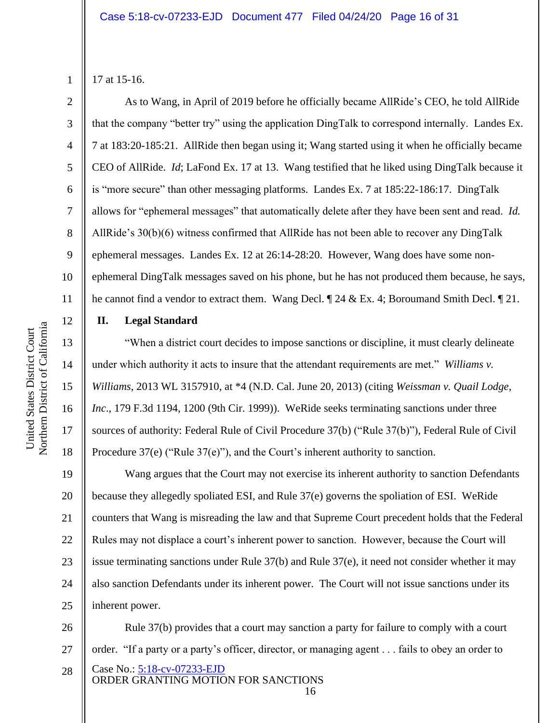3

4

5

6

7

8

9

10

11

12

13

14

15

16

17

18

17 at 15-16.

As to Wang, in April of 2019 before he officially became AllRide's CEO, he told AllRide that the company "better try" using the application DingTalk to correspond internally. Landes Ex. 7 at 183:20-185:21. AllRide then began using it; Wang started using it when he officially became CEO of AllRide. *Id*; LaFond Ex. 17 at 13. Wang testified that he liked using DingTalk because it is "more secure" than other messaging platforms. Landes Ex. 7 at 185:22-186:17. DingTalk allows for "ephemeral messages" that automatically delete after they have been sent and read. *Id.* AllRide's 30(b)(6) witness confirmed that AllRide has not been able to recover any DingTalk ephemeral messages. Landes Ex. 12 at 26:14-28:20. However, Wang does have some nonephemeral DingTalk messages saved on his phone, but he has not produced them because, he says, he cannot find a vendor to extract them. Wang Decl.  $\parallel$  24 & Ex. 4; Boroumand Smith Decl.  $\parallel$  21.

## **II. Legal Standard**

"When a district court decides to impose sanctions or discipline, it must clearly delineate under which authority it acts to insure that the attendant requirements are met." *Williams v. Williams*, 2013 WL 3157910, at \*4 (N.D. Cal. June 20, 2013) (citing *Weissman v. Quail Lodge, Inc*., 179 F.3d 1194, 1200 (9th Cir. 1999)). WeRide seeks terminating sanctions under three sources of authority: Federal Rule of Civil Procedure 37(b) ("Rule 37(b)"), Federal Rule of Civil Procedure 37(e) ("Rule 37(e)"), and the Court's inherent authority to sanction.

19 20 21 22 23 24 25 Wang argues that the Court may not exercise its inherent authority to sanction Defendants because they allegedly spoliated ESI, and Rule 37(e) governs the spoliation of ESI. WeRide counters that Wang is misreading the law and that Supreme Court precedent holds that the Federal Rules may not displace a court's inherent power to sanction. However, because the Court will issue terminating sanctions under Rule 37(b) and Rule 37(e), it need not consider whether it may also sanction Defendants under its inherent power. The Court will not issue sanctions under its inherent power.

Case No.: 5:18-cv-07233-EJD ORDER GRANTING MOTION FOR SANCTIONS 16 26 27 28 Rule 37(b) provides that a court may sanction a party for failure to comply with a court order. "If a party or a party's officer, director, or managing agent . . . fails to obey an order to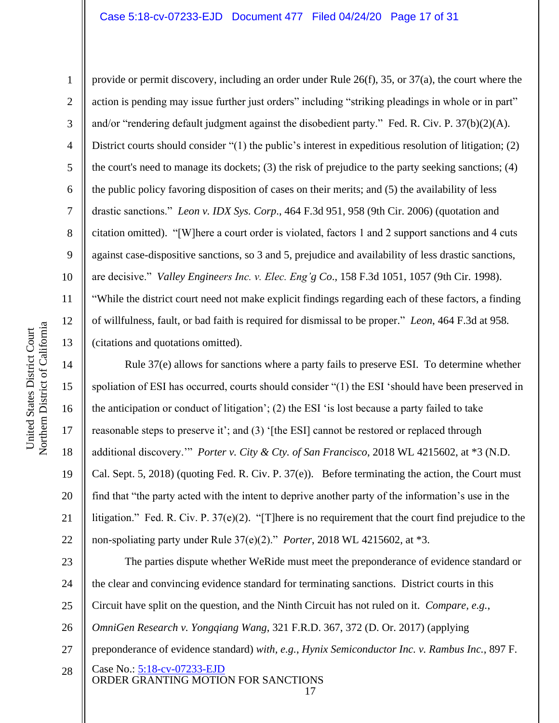provide or permit discovery, including an order under Rule 26(f), 35, or 37(a), the court where the action is pending may issue further just orders" including "striking pleadings in whole or in part" and/or "rendering default judgment against the disobedient party." Fed. R. Civ. P. 37(b)(2)(A). District courts should consider "(1) the public's interest in expeditious resolution of litigation; (2) the court's need to manage its dockets; (3) the risk of prejudice to the party seeking sanctions; (4) the public policy favoring disposition of cases on their merits; and (5) the availability of less drastic sanctions." *Leon v. IDX Sys. Corp*., 464 F.3d 951, 958 (9th Cir. 2006) (quotation and citation omitted). "[W]here a court order is violated, factors 1 and 2 support sanctions and 4 cuts against case-dispositive sanctions, so 3 and 5, prejudice and availability of less drastic sanctions, are decisive." *Valley Engineers Inc. v. Elec. Eng'g Co*., 158 F.3d 1051, 1057 (9th Cir. 1998). "While the district court need not make explicit findings regarding each of these factors, a finding of willfulness, fault, or bad faith is required for dismissal to be proper." *Leon*, 464 F.3d at 958*.*

(citations and quotations omitted).

Rule 37(e) allows for sanctions where a party fails to preserve ESI. To determine whether spoliation of ESI has occurred, courts should consider "(1) the ESI 'should have been preserved in the anticipation or conduct of litigation'; (2) the ESI 'is lost because a party failed to take reasonable steps to preserve it'; and (3) '[the ESI] cannot be restored or replaced through additional discovery.'" *Porter v. City & Cty. of San Francisco*, 2018 WL 4215602, at \*3 (N.D. Cal. Sept. 5, 2018) (quoting Fed. R. Civ. P. 37(e)). Before terminating the action, the Court must find that "the party acted with the intent to deprive another party of the information's use in the litigation." Fed. R. Civ. P.  $37(e)(2)$ . "[T]here is no requirement that the court find prejudice to the non-spoliating party under Rule 37(e)(2)." *Porter*, 2018 WL 4215602, at \*3.

Case No.: 5:18-cv-07233-EJD ORDER GRANTING MOTION FOR SANCTIONS 23 24 25 26 27 28 The parties dispute whether WeRide must meet the preponderance of evidence standard or the clear and convincing evidence standard for terminating sanctions. District courts in this Circuit have split on the question, and the Ninth Circuit has not ruled on it. *Compare, e.g.*, *OmniGen Research v. Yongqiang Wang*, 321 F.R.D. 367, 372 (D. Or. 2017) (applying preponderance of evidence standard) *with, e.g.*, *Hynix Semiconductor Inc. v. Rambus Inc.*, 897 F.

1

2

3

4

5

6

7

8

9

10

11

12

13

14

15

16

17

18

19

20

21

22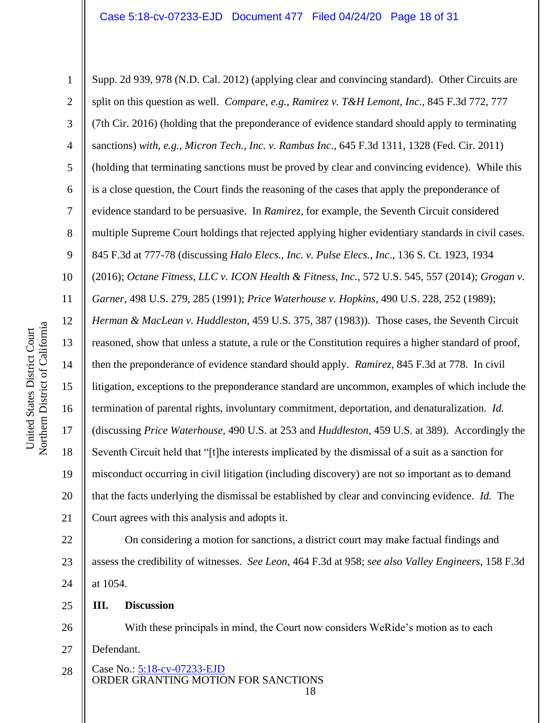1 2 3 4 5 6 7 8 9 10 11 12 13 14 15 16 17 18 19 20 21 22 23 24 25 Supp. 2d 939, 978 (N.D. Cal. 2012) (applying clear and convincing standard). Other Circuits are split on this question as well. *Compare, e.g.*, *Ramirez v. T&H Lemont, Inc*., 845 F.3d 772, 777 (7th Cir. 2016) (holding that the preponderance of evidence standard should apply to terminating sanctions) *with, e.g.*, *Micron Tech., Inc. v. Rambus Inc*., 645 F.3d 1311, 1328 (Fed. Cir. 2011) (holding that terminating sanctions must be proved by clear and convincing evidence). While this is a close question, the Court finds the reasoning of the cases that apply the preponderance of evidence standard to be persuasive. In *Ramirez,* for example, the Seventh Circuit considered multiple Supreme Court holdings that rejected applying higher evidentiary standards in civil cases. 845 F.3d at 777-78 (discussing *Halo Elecs., Inc. v. Pulse Elecs., Inc*., 136 S. Ct. 1923, 1934 (2016); *Octane Fitness, LLC v. ICON Health & Fitness, Inc.*, 572 U.S. 545, 557 (2014); *Grogan v. Garner*, 498 U.S. 279, 285 (1991); *Price Waterhouse v. Hopkins*, 490 U.S. 228, 252 (1989); *Herman & MacLean v. Huddleston*, 459 U.S. 375, 387 (1983)). Those cases, the Seventh Circuit reasoned, show that unless a statute, a rule or the Constitution requires a higher standard of proof, then the preponderance of evidence standard should apply. *Ramirez*, 845 F.3d at 778. In civil litigation, exceptions to the preponderance standard are uncommon, examples of which include the termination of parental rights, involuntary commitment, deportation, and denaturalization. *Id.* (discussing *Price Waterhouse*, 490 U.S. at 253 and *Huddleston*, 459 U.S. at 389). Accordingly the Seventh Circuit held that "[t]he interests implicated by the dismissal of a suit as a sanction for misconduct occurring in civil litigation (including discovery) are not so important as to demand that the facts underlying the dismissal be established by clear and convincing evidence. *Id.* The Court agrees with this analysis and adopts it. On considering a motion for sanctions, a district court may make factual findings and assess the credibility of witnesses. *See Leon*, 464 F.3d at 958; *see also Valley Engineers*, 158 F.3d at 1054. **III. Discussion**

Northern District of California Northern District of California United States District Court United States District Court

- 26
- With these principals in mind, the Court now considers WeRide's motion as to each
- 27 Defendant.
- Case No.: 5:18-cv-07233-EJD ORDER GRANTING MOTION FOR SANCTIONS 18 28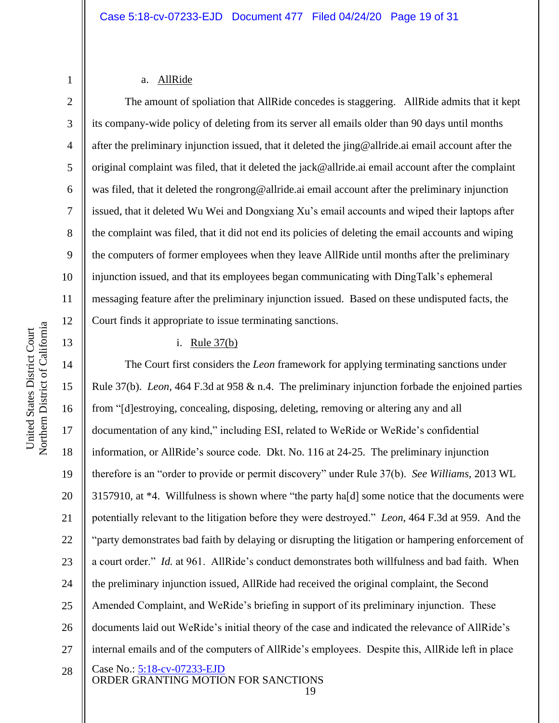5

6

7

8

9

10

11

12

13

1

### a. AllRide

The amount of spoliation that AllRide concedes is staggering. AllRide admits that it kept its company-wide policy of deleting from its server all emails older than 90 days until months after the preliminary injunction issued, that it deleted the jing@allride.ai email account after the original complaint was filed, that it deleted the jack@allride.ai email account after the complaint was filed, that it deleted the rongrong@allride.ai email account after the preliminary injunction issued, that it deleted Wu Wei and Dongxiang Xu's email accounts and wiped their laptops after the complaint was filed, that it did not end its policies of deleting the email accounts and wiping the computers of former employees when they leave AllRide until months after the preliminary injunction issued, and that its employees began communicating with DingTalk's ephemeral messaging feature after the preliminary injunction issued. Based on these undisputed facts, the Court finds it appropriate to issue terminating sanctions.

### i. Rule 37(b)

Case No.: 5:18-cv-07233-EJD ORDER GRANTING MOTION FOR SANCTIONS 14 15 16 17 18 19 20 21 22 23 24 25 26 27 28 The Court first considers the *Leon* framework for applying terminating sanctions under Rule 37(b). *Leon*, 464 F.3d at 958 & n.4. The preliminary injunction forbade the enjoined parties from "[d]estroying, concealing, disposing, deleting, removing or altering any and all documentation of any kind," including ESI, related to WeRide or WeRide's confidential information, or AllRide's source code. Dkt. No. 116 at 24-25. The preliminary injunction therefore is an "order to provide or permit discovery" under Rule 37(b). *See Williams*, 2013 WL 3157910, at \*4. Willfulness is shown where "the party ha[d] some notice that the documents were potentially relevant to the litigation before they were destroyed." *Leon*, 464 F.3d at 959. And the "party demonstrates bad faith by delaying or disrupting the litigation or hampering enforcement of a court order." *Id.* at 961. AllRide's conduct demonstrates both willfulness and bad faith. When the preliminary injunction issued, AllRide had received the original complaint, the Second Amended Complaint, and WeRide's briefing in support of its preliminary injunction. These documents laid out WeRide's initial theory of the case and indicated the relevance of AllRide's internal emails and of the computers of AllRide's employees. Despite this, AllRide left in place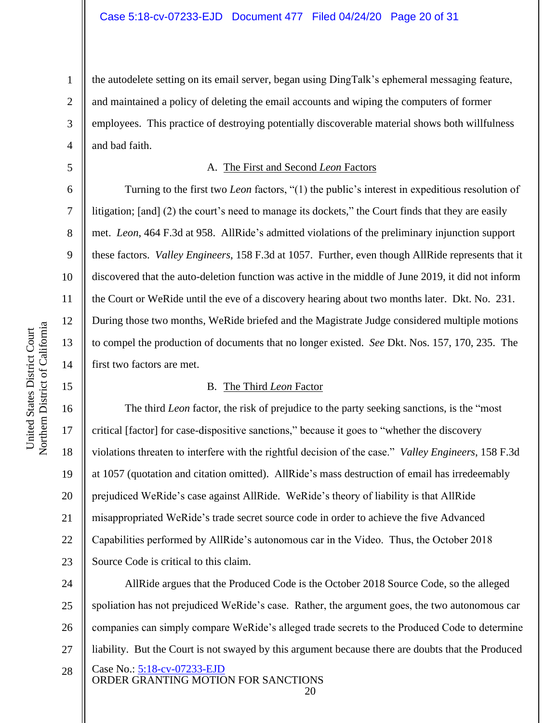4 the autodelete setting on its email server, began using DingTalk's ephemeral messaging feature, and maintained a policy of deleting the email accounts and wiping the computers of former employees. This practice of destroying potentially discoverable material shows both willfulness and bad faith.

### A. The First and Second *Leon* Factors

Turning to the first two *Leon* factors, "(1) the public's interest in expeditious resolution of litigation; [and] (2) the court's need to manage its dockets," the Court finds that they are easily met. *Leon*, 464 F.3d at 958. AllRide's admitted violations of the preliminary injunction support these factors. *Valley Engineers*, 158 F.3d at 1057. Further, even though AllRide represents that it discovered that the auto-deletion function was active in the middle of June 2019, it did not inform the Court or WeRide until the eve of a discovery hearing about two months later. Dkt. No. 231. During those two months, WeRide briefed and the Magistrate Judge considered multiple motions to compel the production of documents that no longer existed. *See* Dkt. Nos. 157, 170, 235. The first two factors are met.

### B. The Third *Leon* Factor

The third *Leon* factor, the risk of prejudice to the party seeking sanctions, is the "most critical [factor] for case-dispositive sanctions," because it goes to "whether the discovery violations threaten to interfere with the rightful decision of the case." *Valley Engineers*, 158 F.3d at 1057 (quotation and citation omitted). AllRide's mass destruction of email has irredeemably prejudiced WeRide's case against AllRide. WeRide's theory of liability is that AllRide misappropriated WeRide's trade secret source code in order to achieve the five Advanced Capabilities performed by AllRide's autonomous car in the Video. Thus, the October 2018 Source Code is critical to this claim.

Case No.: 5:18-cv-07233-EJD ORDER GRANTING MOTION FOR SANCTIONS 24 25 26 27 28 AllRide argues that the Produced Code is the October 2018 Source Code, so the alleged spoliation has not prejudiced WeRide's case. Rather, the argument goes, the two autonomous car companies can simply compare WeRide's alleged trade secrets to the Produced Code to determine liability. But the Court is not swayed by this argument because there are doubts that the Produced

20

1

2

3

5

6

7

8

9

10

11

12

13

14

15

16

17

18

19

20

21

22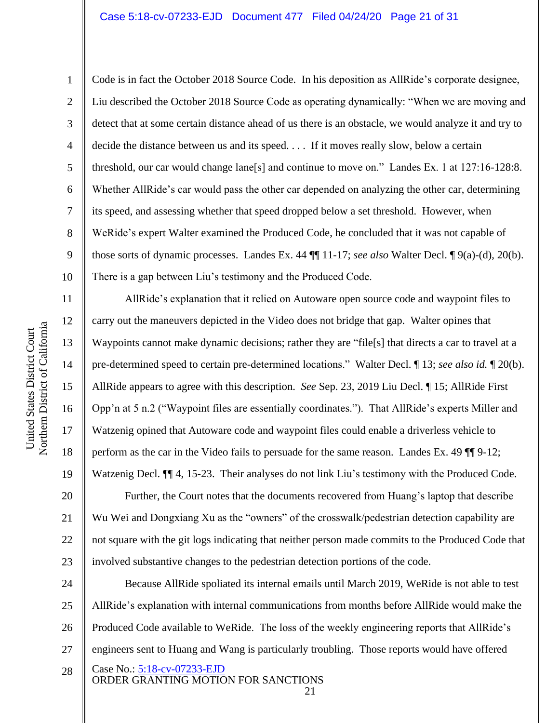### Case 5:18-cv-07233-EJD Document 477 Filed 04/24/20 Page 21 of 31

Code is in fact the October 2018 Source Code. In his deposition as AllRide's corporate designee, Liu described the October 2018 Source Code as operating dynamically: "When we are moving and detect that at some certain distance ahead of us there is an obstacle, we would analyze it and try to decide the distance between us and its speed. . . . If it moves really slow, below a certain threshold, our car would change lane[s] and continue to move on." Landes Ex. 1 at 127:16-128:8. Whether AllRide's car would pass the other car depended on analyzing the other car, determining its speed, and assessing whether that speed dropped below a set threshold. However, when WeRide's expert Walter examined the Produced Code, he concluded that it was not capable of those sorts of dynamic processes. Landes Ex. 44 ¶¶ 11-17; *see also* Walter Decl. ¶ 9(a)-(d), 20(b). There is a gap between Liu's testimony and the Produced Code.

AllRide's explanation that it relied on Autoware open source code and waypoint files to carry out the maneuvers depicted in the Video does not bridge that gap. Walter opines that Waypoints cannot make dynamic decisions; rather they are "file[s] that directs a car to travel at a pre-determined speed to certain pre-determined locations." Walter Decl. ¶ 13; *see also id.* ¶ 20(b). AllRide appears to agree with this description. *See* Sep. 23, 2019 Liu Decl. ¶ 15; AllRide First Opp'n at 5 n.2 ("Waypoint files are essentially coordinates."). That AllRide's experts Miller and Watzenig opined that Autoware code and waypoint files could enable a driverless vehicle to perform as the car in the Video fails to persuade for the same reason. Landes Ex. 49 ¶¶ 9-12; Watzenig Decl.  $\P$  4, 15-23. Their analyses do not link Liu's testimony with the Produced Code. Further, the Court notes that the documents recovered from Huang's laptop that describe Wu Wei and Dongxiang Xu as the "owners" of the crosswalk/pedestrian detection capability are not square with the git logs indicating that neither person made commits to the Produced Code that involved substantive changes to the pedestrian detection portions of the code.

Case No.: 5:18-cv-07233-EJD ORDER GRANTING MOTION FOR SANCTIONS 24 25 26 27 28 Because AllRide spoliated its internal emails until March 2019, WeRide is not able to test AllRide's explanation with internal communications from months before AllRide would make the Produced Code available to WeRide. The loss of the weekly engineering reports that AllRide's engineers sent to Huang and Wang is particularly troubling. Those reports would have offered

1

2

3

4

5

6

7

8

9

10

11

12

13

14

15

16

17

18

19

20

21

22

23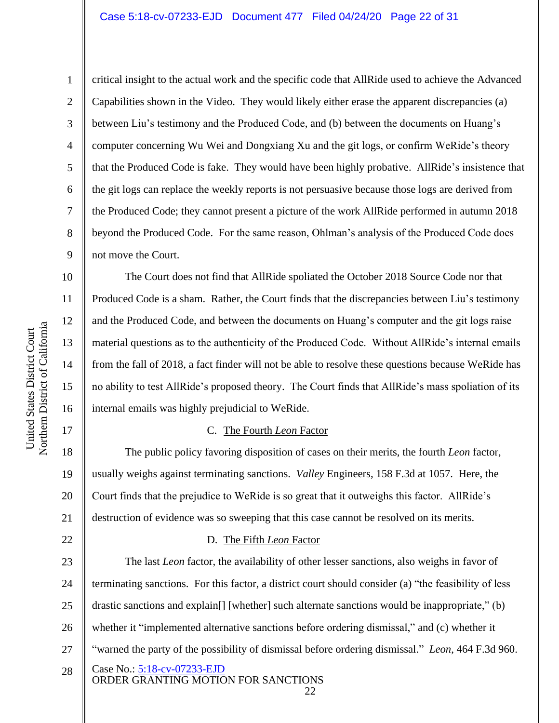2

3

4

5

6

7

8

9

10

11

12

13

14

15

16

17

18

19

20

21

22

critical insight to the actual work and the specific code that AllRide used to achieve the Advanced Capabilities shown in the Video. They would likely either erase the apparent discrepancies (a) between Liu's testimony and the Produced Code, and (b) between the documents on Huang's computer concerning Wu Wei and Dongxiang Xu and the git logs, or confirm WeRide's theory that the Produced Code is fake. They would have been highly probative. AllRide's insistence that the git logs can replace the weekly reports is not persuasive because those logs are derived from the Produced Code; they cannot present a picture of the work AllRide performed in autumn 2018 beyond the Produced Code. For the same reason, Ohlman's analysis of the Produced Code does not move the Court.

The Court does not find that AllRide spoliated the October 2018 Source Code nor that Produced Code is a sham. Rather, the Court finds that the discrepancies between Liu's testimony and the Produced Code, and between the documents on Huang's computer and the git logs raise material questions as to the authenticity of the Produced Code. Without AllRide's internal emails from the fall of 2018, a fact finder will not be able to resolve these questions because WeRide has no ability to test AllRide's proposed theory. The Court finds that AllRide's mass spoliation of its internal emails was highly prejudicial to WeRide.

### C. The Fourth *Leon* Factor

The public policy favoring disposition of cases on their merits, the fourth *Leon* factor, usually weighs against terminating sanctions. *Valley* Engineers, 158 F.3d at 1057. Here, the Court finds that the prejudice to WeRide is so great that it outweighs this factor. AllRide's destruction of evidence was so sweeping that this case cannot be resolved on its merits.

### D. The Fifth *Leon* Factor

Case No.: 5:18-cv-07233-EJD ORDER GRANTING MOTION FOR SANCTIONS 23 24 25 26 27 28 The last *Leon* factor, the availability of other lesser sanctions, also weighs in favor of terminating sanctions. For this factor, a district court should consider (a) "the feasibility of less drastic sanctions and explain[] [whether] such alternate sanctions would be inappropriate," (b) whether it "implemented alternative sanctions before ordering dismissal," and (c) whether it "warned the party of the possibility of dismissal before ordering dismissal." *Leon*, 464 F.3d 960.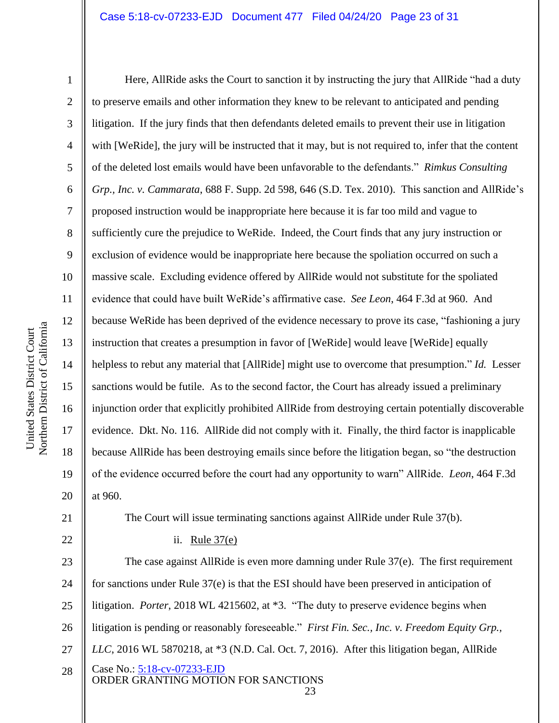### Case 5:18-cv-07233-EJD Document 477 Filed 04/24/20 Page 23 of 31

Here, AllRide asks the Court to sanction it by instructing the jury that AllRide "had a duty to preserve emails and other information they knew to be relevant to anticipated and pending litigation. If the jury finds that then defendants deleted emails to prevent their use in litigation with [WeRide], the jury will be instructed that it may, but is not required to, infer that the content of the deleted lost emails would have been unfavorable to the defendants." *Rimkus Consulting Grp., Inc. v. Cammarata*, 688 F. Supp. 2d 598, 646 (S.D. Tex. 2010). This sanction and AllRide's proposed instruction would be inappropriate here because it is far too mild and vague to sufficiently cure the prejudice to WeRide. Indeed, the Court finds that any jury instruction or exclusion of evidence would be inappropriate here because the spoliation occurred on such a massive scale. Excluding evidence offered by AllRide would not substitute for the spoliated evidence that could have built WeRide's affirmative case. *See Leon*, 464 F.3d at 960. And because WeRide has been deprived of the evidence necessary to prove its case, "fashioning a jury instruction that creates a presumption in favor of [WeRide] would leave [WeRide] equally helpless to rebut any material that [AllRide] might use to overcome that presumption." *Id.* Lesser sanctions would be futile. As to the second factor, the Court has already issued a preliminary injunction order that explicitly prohibited AllRide from destroying certain potentially discoverable evidence. Dkt. No. 116. AllRide did not comply with it. Finally, the third factor is inapplicable because AllRide has been destroying emails since before the litigation began, so "the destruction of the evidence occurred before the court had any opportunity to warn" AllRide. *Leon*, 464 F.3d at 960.

21 22

1

2

3

4

5

6

7

8

9

10

11

12

13

14

15

16

17

18

19

20

### ii. Rule 37(e)

Case No.: 5:18-cv-07233-EJD ORDER GRANTING MOTION FOR SANCTIONS 23 24 25 26 27 28 The case against AllRide is even more damning under Rule 37(e). The first requirement for sanctions under Rule 37(e) is that the ESI should have been preserved in anticipation of litigation. *Porter*, 2018 WL 4215602, at \*3. "The duty to preserve evidence begins when litigation is pending or reasonably foreseeable." *First Fin. Sec., Inc. v. Freedom Equity Grp., LLC*, 2016 WL 5870218, at \*3 (N.D. Cal. Oct. 7, 2016). After this litigation began, AllRide

The Court will issue terminating sanctions against AllRide under Rule 37(b).

<sup>23</sup>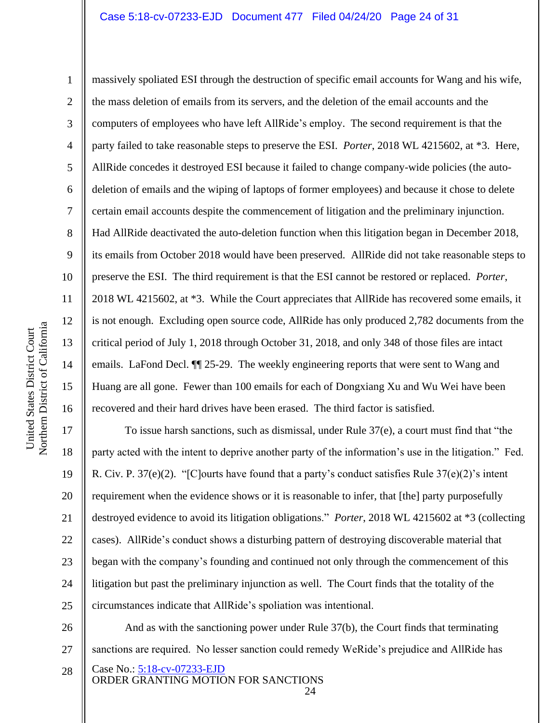### Case 5:18-cv-07233-EJD Document 477 Filed 04/24/20 Page 24 of 31

10 11 12 13 14 15 Northern District of California

United States District Court

Northern District of California United States District Court

1 2 3 4 5 6 7 8 9 16 massively spoliated ESI through the destruction of specific email accounts for Wang and his wife, the mass deletion of emails from its servers, and the deletion of the email accounts and the computers of employees who have left AllRide's employ. The second requirement is that the party failed to take reasonable steps to preserve the ESI. *Porter*, 2018 WL 4215602, at \*3. Here, AllRide concedes it destroyed ESI because it failed to change company-wide policies (the autodeletion of emails and the wiping of laptops of former employees) and because it chose to delete certain email accounts despite the commencement of litigation and the preliminary injunction. Had AllRide deactivated the auto-deletion function when this litigation began in December 2018, its emails from October 2018 would have been preserved. AllRide did not take reasonable steps to preserve the ESI. The third requirement is that the ESI cannot be restored or replaced. *Porter*, 2018 WL 4215602, at \*3. While the Court appreciates that AllRide has recovered some emails, it is not enough. Excluding open source code, AllRide has only produced 2,782 documents from the critical period of July 1, 2018 through October 31, 2018, and only 348 of those files are intact emails. LaFond Decl. ¶¶ 25-29. The weekly engineering reports that were sent to Wang and Huang are all gone. Fewer than 100 emails for each of Dongxiang Xu and Wu Wei have been recovered and their hard drives have been erased. The third factor is satisfied.

17 18 19 20 21 22 23 24 25 To issue harsh sanctions, such as dismissal, under Rule 37(e), a court must find that "the party acted with the intent to deprive another party of the information's use in the litigation." Fed. R. Civ. P. 37(e)(2). "[C]ourts have found that a party's conduct satisfies Rule 37(e)(2)'s intent requirement when the evidence shows or it is reasonable to infer, that [the] party purposefully destroyed evidence to avoid its litigation obligations." *Porter*, 2018 WL 4215602 at \*3 (collecting cases). AllRide's conduct shows a disturbing pattern of destroying discoverable material that began with the company's founding and continued not only through the commencement of this litigation but past the preliminary injunction as well. The Court finds that the totality of the circumstances indicate that AllRide's spoliation was intentional.

Case No.: 5:18-cv-07233-EJD ORDER GRANTING MOTION FOR SANCTIONS 26 27 And as with the sanctioning power under Rule 37(b), the Court finds that terminating sanctions are required. No lesser sanction could remedy WeRide's prejudice and AllRide has

<sup>28</sup>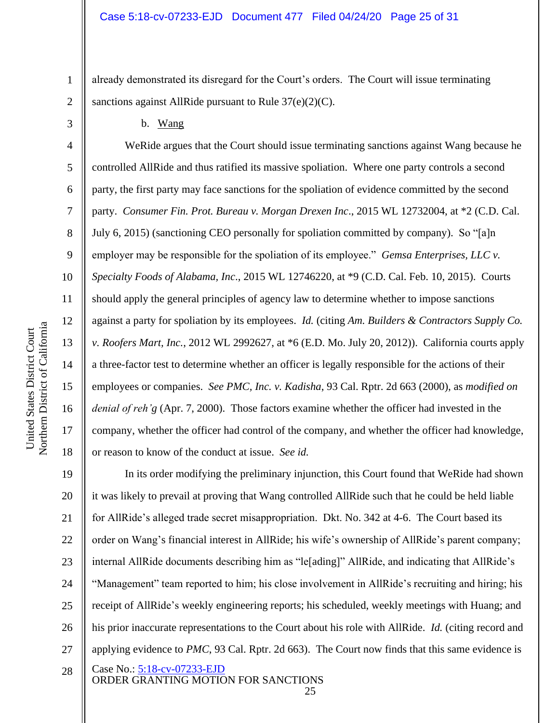already demonstrated its disregard for the Court's orders. The Court will issue terminating sanctions against AllRide pursuant to Rule  $37(e)(2)(C)$ .

b. Wang

WeRide argues that the Court should issue terminating sanctions against Wang because he controlled AllRide and thus ratified its massive spoliation. Where one party controls a second party, the first party may face sanctions for the spoliation of evidence committed by the second party. *Consumer Fin. Prot. Bureau v. Morgan Drexen Inc*., 2015 WL 12732004, at \*2 (C.D. Cal. July 6, 2015) (sanctioning CEO personally for spoliation committed by company). So "[a]n employer may be responsible for the spoliation of its employee." *Gemsa Enterprises, LLC v. Specialty Foods of Alabama, Inc*., 2015 WL 12746220, at \*9 (C.D. Cal. Feb. 10, 2015). Courts should apply the general principles of agency law to determine whether to impose sanctions against a party for spoliation by its employees. *Id.* (citing *Am. Builders & Contractors Supply Co. v. Roofers Mart, Inc.*, 2012 WL 2992627, at \*6 (E.D. Mo. July 20, 2012)). California courts apply a three-factor test to determine whether an officer is legally responsible for the actions of their employees or companies. *See PMC, Inc. v. Kadisha*, 93 Cal. Rptr. 2d 663 (2000), as *modified on denial of reh'g* (Apr. 7, 2000). Those factors examine whether the officer had invested in the company, whether the officer had control of the company, and whether the officer had knowledge, or reason to know of the conduct at issue. *See id.*

Case No.: 5:18-cv-07233-EJD ORDER GRANTING MOTION FOR SANCTIONS 19 20 21 22 23 24 25 26 27 28 In its order modifying the preliminary injunction, this Court found that WeRide had shown it was likely to prevail at proving that Wang controlled AllRide such that he could be held liable for AllRide's alleged trade secret misappropriation. Dkt. No. 342 at 4-6. The Court based its order on Wang's financial interest in AllRide; his wife's ownership of AllRide's parent company; internal AllRide documents describing him as "le[ading]" AllRide, and indicating that AllRide's "Management" team reported to him; his close involvement in AllRide's recruiting and hiring; his receipt of AllRide's weekly engineering reports; his scheduled, weekly meetings with Huang; and his prior inaccurate representations to the Court about his role with AllRide. *Id.* (citing record and applying evidence to *PMC*, 93 Cal. Rptr. 2d 663). The Court now finds that this same evidence is

1

2

3

4

5

6

7

8

9

10

11

12

13

14

15

16

17

18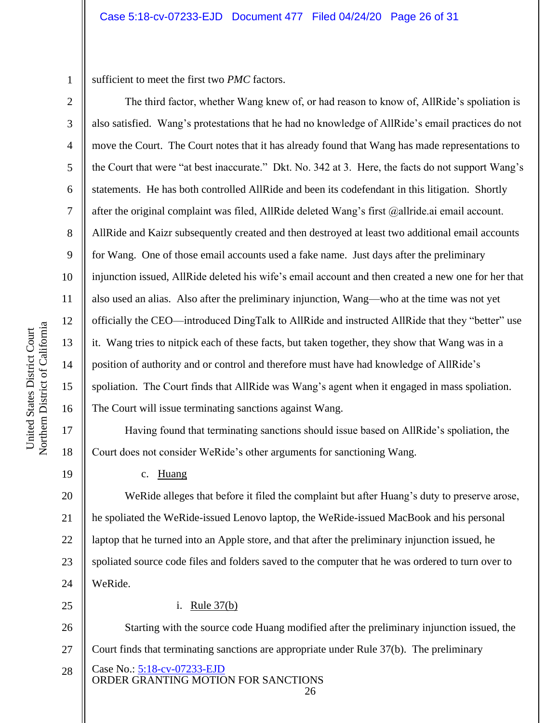1 sufficient to meet the first two *PMC* factors.

The third factor, whether Wang knew of, or had reason to know of, AllRide's spoliation is also satisfied. Wang's protestations that he had no knowledge of AllRide's email practices do not move the Court. The Court notes that it has already found that Wang has made representations to the Court that were "at best inaccurate." Dkt. No. 342 at 3. Here, the facts do not support Wang's statements. He has both controlled AllRide and been its codefendant in this litigation. Shortly after the original complaint was filed, AllRide deleted Wang's first @allride.ai email account. AllRide and Kaizr subsequently created and then destroyed at least two additional email accounts for Wang. One of those email accounts used a fake name. Just days after the preliminary injunction issued, AllRide deleted his wife's email account and then created a new one for her that also used an alias. Also after the preliminary injunction, Wang—who at the time was not yet officially the CEO—introduced DingTalk to AllRide and instructed AllRide that they "better" use it. Wang tries to nitpick each of these facts, but taken together, they show that Wang was in a position of authority and or control and therefore must have had knowledge of AllRide's spoliation. The Court finds that AllRide was Wang's agent when it engaged in mass spoliation. The Court will issue terminating sanctions against Wang.

Having found that terminating sanctions should issue based on AllRide's spoliation, the Court does not consider WeRide's other arguments for sanctioning Wang.

c. Huang

20 21 22 23 24 WeRide alleges that before it filed the complaint but after Huang's duty to preserve arose, he spoliated the WeRide-issued Lenovo laptop, the WeRide-issued MacBook and his personal laptop that he turned into an Apple store, and that after the preliminary injunction issued, he spoliated source code files and folders saved to the computer that he was ordered to turn over to WeRide.

25

### i. Rule 37(b)

Case No.: 5:18-cv-07233-EJD 26 27 28 Starting with the source code Huang modified after the preliminary injunction issued, the Court finds that terminating sanctions are appropriate under Rule 37(b). The preliminary

ORDER GRANTING MOTION FOR SANCTIONS 26

2

3

4

5

6

7

8

9

10

11

12

13

14

15

16

17

18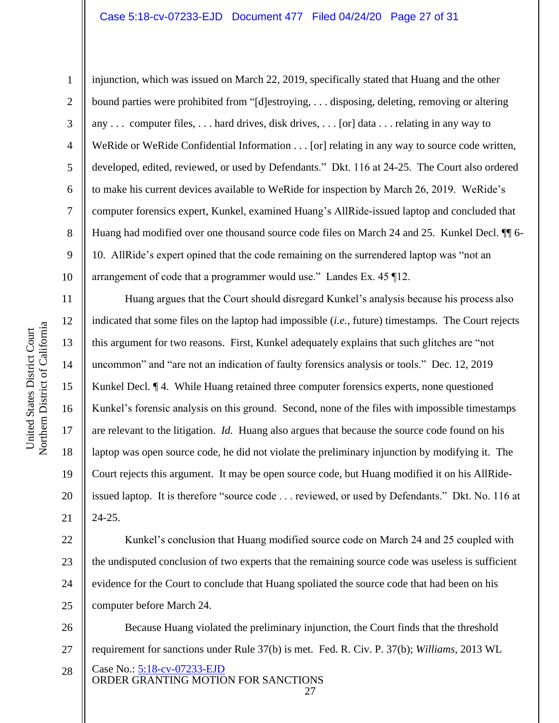### Case 5:18-cv-07233-EJD Document 477 Filed 04/24/20 Page 27 of 31

1

2

3

4

5

6

7

8

9

10

11

12

13

14

15

16

17

18

19

20

21

injunction, which was issued on March 22, 2019, specifically stated that Huang and the other bound parties were prohibited from "[d]estroying, . . . disposing, deleting, removing or altering any . . . computer files, . . . hard drives, disk drives, . . . [or] data . . . relating in any way to WeRide or WeRide Confidential Information . . . [or] relating in any way to source code written, developed, edited, reviewed, or used by Defendants." Dkt. 116 at 24-25. The Court also ordered to make his current devices available to WeRide for inspection by March 26, 2019. WeRide's computer forensics expert, Kunkel, examined Huang's AllRide-issued laptop and concluded that Huang had modified over one thousand source code files on March 24 and 25. Kunkel Decl. ¶¶ 6- 10. AllRide's expert opined that the code remaining on the surrendered laptop was "not an arrangement of code that a programmer would use." Landes Ex. 45 ¶12.

Huang argues that the Court should disregard Kunkel's analysis because his process also indicated that some files on the laptop had impossible (*i.e.*, future) timestamps. The Court rejects this argument for two reasons. First, Kunkel adequately explains that such glitches are "not uncommon" and "are not an indication of faulty forensics analysis or tools." Dec. 12, 2019 Kunkel Decl. ¶ 4. While Huang retained three computer forensics experts, none questioned Kunkel's forensic analysis on this ground. Second, none of the files with impossible timestamps are relevant to the litigation. *Id.* Huang also argues that because the source code found on his laptop was open source code, he did not violate the preliminary injunction by modifying it. The Court rejects this argument. It may be open source code, but Huang modified it on his AllRideissued laptop. It is therefore "source code . . . reviewed, or used by Defendants." Dkt. No. 116 at 24-25.

22 23 24 25 Kunkel's conclusion that Huang modified source code on March 24 and 25 coupled with the undisputed conclusion of two experts that the remaining source code was useless is sufficient evidence for the Court to conclude that Huang spoliated the source code that had been on his computer before March 24.

Case No.: 5:18-cv-07233-EJD ORDER GRANTING MOTION FOR SANCTIONS 26 27 28 Because Huang violated the preliminary injunction, the Court finds that the threshold requirement for sanctions under Rule 37(b) is met. Fed. R. Civ. P. 37(b); *Williams*, 2013 WL

<sup>27</sup>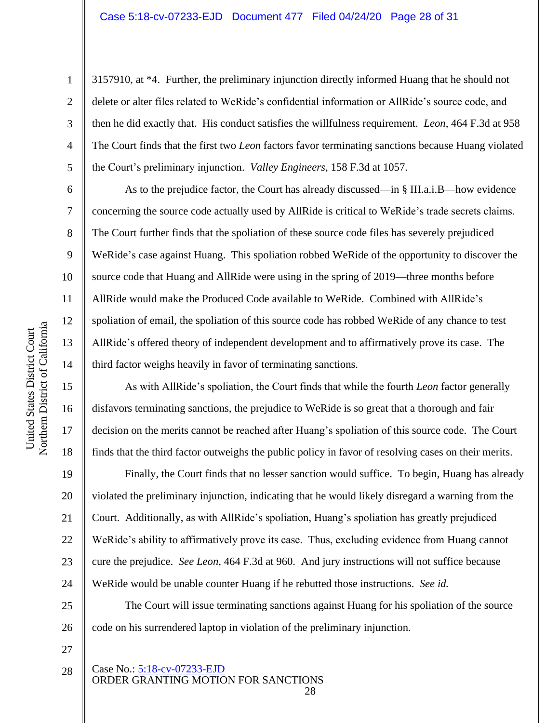2

3

4

5

6

7

8

9

10

11

12

13

14

15

16

17

18

19

20

21

22

23

24

3157910, at \*4. Further, the preliminary injunction directly informed Huang that he should not delete or alter files related to WeRide's confidential information or AllRide's source code, and then he did exactly that. His conduct satisfies the willfulness requirement. *Leon*, 464 F.3d at 958 The Court finds that the first two *Leon* factors favor terminating sanctions because Huang violated the Court's preliminary injunction. *Valley Engineers*, 158 F.3d at 1057.

As to the prejudice factor, the Court has already discussed—in § III.a.i.B—how evidence concerning the source code actually used by AllRide is critical to WeRide's trade secrets claims. The Court further finds that the spoliation of these source code files has severely prejudiced WeRide's case against Huang. This spoliation robbed WeRide of the opportunity to discover the source code that Huang and AllRide were using in the spring of 2019—three months before AllRide would make the Produced Code available to WeRide. Combined with AllRide's spoliation of email, the spoliation of this source code has robbed WeRide of any chance to test AllRide's offered theory of independent development and to affirmatively prove its case. The third factor weighs heavily in favor of terminating sanctions.

As with AllRide's spoliation, the Court finds that while the fourth *Leon* factor generally disfavors terminating sanctions, the prejudice to WeRide is so great that a thorough and fair decision on the merits cannot be reached after Huang's spoliation of this source code. The Court finds that the third factor outweighs the public policy in favor of resolving cases on their merits.

Finally, the Court finds that no lesser sanction would suffice. To begin, Huang has already violated the preliminary injunction, indicating that he would likely disregard a warning from the Court. Additionally, as with AllRide's spoliation, Huang's spoliation has greatly prejudiced WeRide's ability to affirmatively prove its case. Thus, excluding evidence from Huang cannot cure the prejudice. *See Leon*, 464 F.3d at 960. And jury instructions will not suffice because WeRide would be unable counter Huang if he rebutted those instructions. *See id.*

25 26 The Court will issue terminating sanctions against Huang for his spoliation of the source code on his surrendered laptop in violation of the preliminary injunction.

27

#### Case No.: 5:18-cv-07233-EJD ORDER GRANTING MOTION FOR SANCTIONS 28 28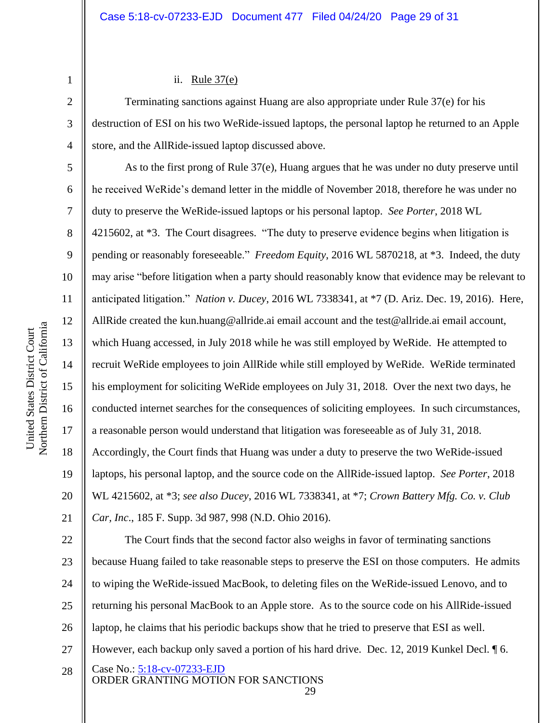### ii. Rule 37(e)

Terminating sanctions against Huang are also appropriate under Rule 37(e) for his destruction of ESI on his two WeRide-issued laptops, the personal laptop he returned to an Apple store, and the AllRide-issued laptop discussed above.

As to the first prong of Rule 37(e), Huang argues that he was under no duty preserve until he received WeRide's demand letter in the middle of November 2018, therefore he was under no duty to preserve the WeRide-issued laptops or his personal laptop. *See Porter*, 2018 WL 4215602, at \*3. The Court disagrees. "The duty to preserve evidence begins when litigation is pending or reasonably foreseeable." *Freedom Equity*, 2016 WL 5870218, at \*3. Indeed, the duty may arise "before litigation when a party should reasonably know that evidence may be relevant to anticipated litigation." *Nation v. Ducey*, 2016 WL 7338341, at \*7 (D. Ariz. Dec. 19, 2016). Here, AllRide created the kun.huang@allride.ai email account and the test@allride.ai email account, which Huang accessed, in July 2018 while he was still employed by WeRide. He attempted to recruit WeRide employees to join AllRide while still employed by WeRide. WeRide terminated his employment for soliciting WeRide employees on July 31, 2018. Over the next two days, he conducted internet searches for the consequences of soliciting employees. In such circumstances, a reasonable person would understand that litigation was foreseeable as of July 31, 2018. Accordingly, the Court finds that Huang was under a duty to preserve the two WeRide-issued laptops, his personal laptop, and the source code on the AllRide-issued laptop. *See Porter*, 2018 WL 4215602, at \*3; *see also Ducey*, 2016 WL 7338341, at \*7; *Crown Battery Mfg. Co. v. Club Car, Inc*., 185 F. Supp. 3d 987, 998 (N.D. Ohio 2016).

Case No.: 5:18-cv-07233-EJD ORDER GRANTING MOTION FOR SANCTIONS 22 23 24 25 26 27 28 The Court finds that the second factor also weighs in favor of terminating sanctions because Huang failed to take reasonable steps to preserve the ESI on those computers. He admits to wiping the WeRide-issued MacBook, to deleting files on the WeRide-issued Lenovo, and to returning his personal MacBook to an Apple store. As to the source code on his AllRide-issued laptop, he claims that his periodic backups show that he tried to preserve that ESI as well. However, each backup only saved a portion of his hard drive. Dec. 12, 2019 Kunkel Decl. 16.

29

1

2

3

4

5

6

7

8

9

10

11

12

13

14

15

16

17

18

19

20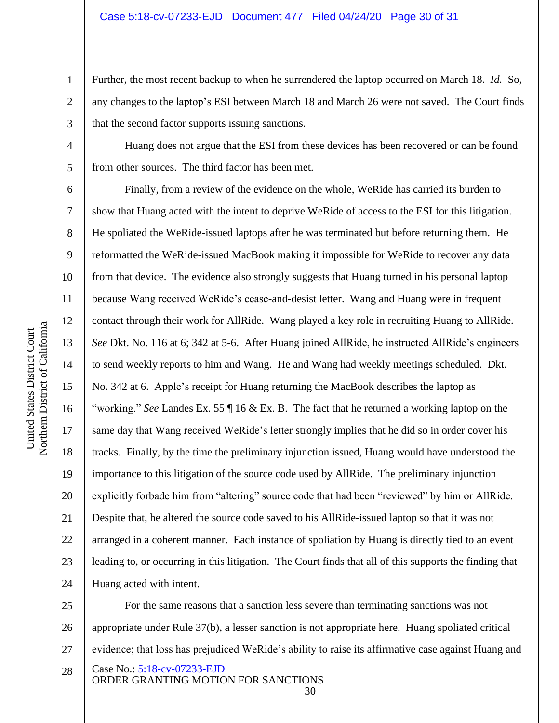Further, the most recent backup to when he surrendered the laptop occurred on March 18. *Id.* So, any changes to the laptop's ESI between March 18 and March 26 were not saved. The Court finds that the second factor supports issuing sanctions.

Huang does not argue that the ESI from these devices has been recovered or can be found from other sources. The third factor has been met.

Finally, from a review of the evidence on the whole, WeRide has carried its burden to show that Huang acted with the intent to deprive WeRide of access to the ESI for this litigation. He spoliated the WeRide-issued laptops after he was terminated but before returning them. He reformatted the WeRide-issued MacBook making it impossible for WeRide to recover any data from that device. The evidence also strongly suggests that Huang turned in his personal laptop because Wang received WeRide's cease-and-desist letter. Wang and Huang were in frequent contact through their work for AllRide. Wang played a key role in recruiting Huang to AllRide. *See* Dkt. No. 116 at 6; 342 at 5-6. After Huang joined AllRide, he instructed AllRide's engineers to send weekly reports to him and Wang. He and Wang had weekly meetings scheduled. Dkt. No. 342 at 6. Apple's receipt for Huang returning the MacBook describes the laptop as "working." *See* Landes Ex. 55 ¶ 16 & Ex. B. The fact that he returned a working laptop on the same day that Wang received WeRide's letter strongly implies that he did so in order cover his tracks. Finally, by the time the preliminary injunction issued, Huang would have understood the importance to this litigation of the source code used by AllRide. The preliminary injunction explicitly forbade him from "altering" source code that had been "reviewed" by him or AllRide. Despite that, he altered the source code saved to his AllRide-issued laptop so that it was not arranged in a coherent manner. Each instance of spoliation by Huang is directly tied to an event leading to, or occurring in this litigation. The Court finds that all of this supports the finding that Huang acted with intent.

Case No.: 5:18-cv-07233-EJD 25 26 For the same reasons that a sanction less severe than terminating sanctions was not appropriate under Rule 37(b), a lesser sanction is not appropriate here. Huang spoliated critical evidence; that loss has prejudiced WeRide's ability to raise its affirmative case against Huang and

30

1

2

3

4

5

6

7

8

9

10

11

12

13

14

15

16

17

18

19

20

21

22

23

24

27

ORDER GRANTING MOTION FOR SANCTIONS